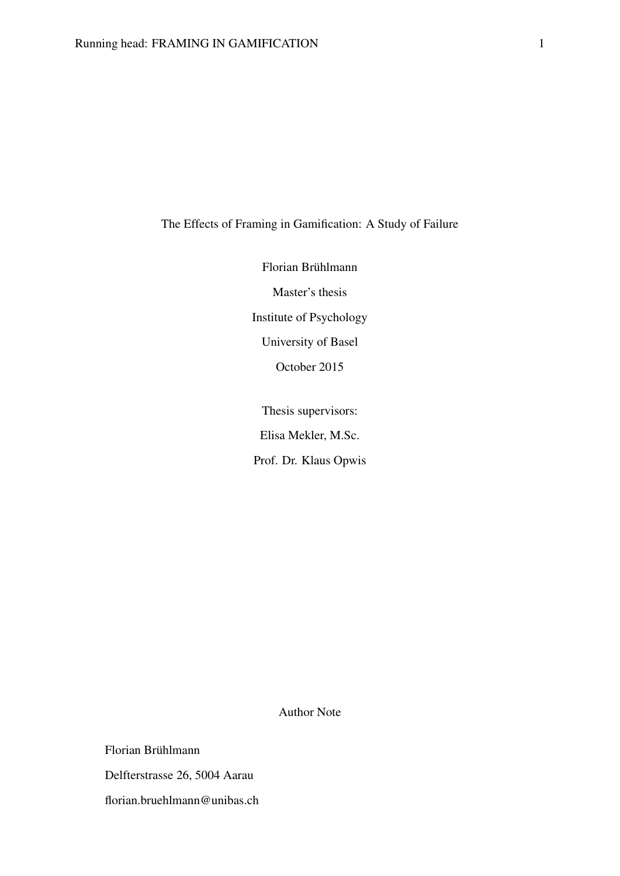# The Effects of Framing in Gamification: A Study of Failure

Florian Brühlmann Master's thesis Institute of Psychology University of Basel October 2015

Thesis supervisors: Elisa Mekler, M.Sc. Prof. Dr. Klaus Opwis

Author Note

Florian Brühlmann Delfterstrasse 26, 5004 Aarau florian.bruehlmann@unibas.ch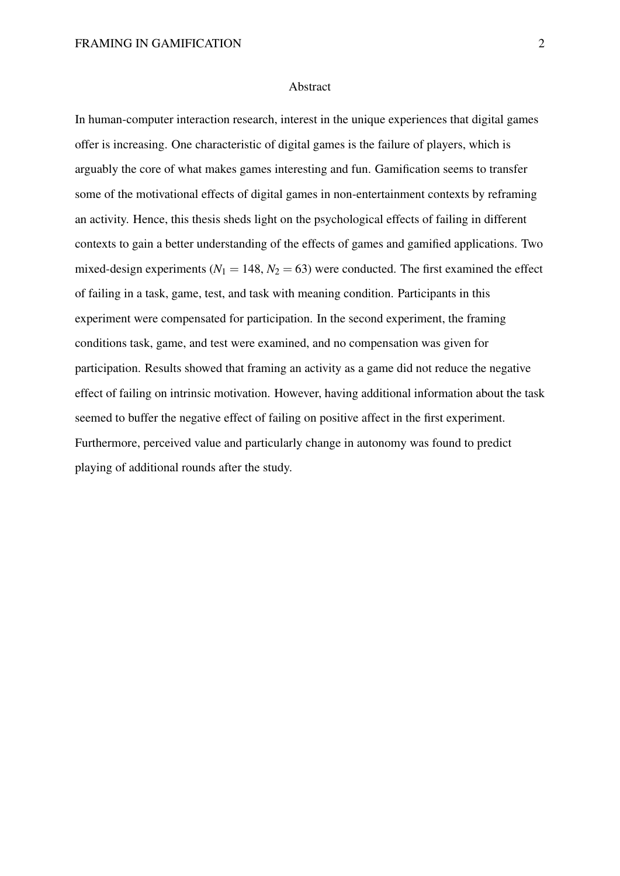#### Abstract

In human-computer interaction research, interest in the unique experiences that digital games offer is increasing. One characteristic of digital games is the failure of players, which is arguably the core of what makes games interesting and fun. Gamification seems to transfer some of the motivational effects of digital games in non-entertainment contexts by reframing an activity. Hence, this thesis sheds light on the psychological effects of failing in different contexts to gain a better understanding of the effects of games and gamified applications. Two mixed-design experiments ( $N_1 = 148$ ,  $N_2 = 63$ ) were conducted. The first examined the effect of failing in a task, game, test, and task with meaning condition. Participants in this experiment were compensated for participation. In the second experiment, the framing conditions task, game, and test were examined, and no compensation was given for participation. Results showed that framing an activity as a game did not reduce the negative effect of failing on intrinsic motivation. However, having additional information about the task seemed to buffer the negative effect of failing on positive affect in the first experiment. Furthermore, perceived value and particularly change in autonomy was found to predict playing of additional rounds after the study.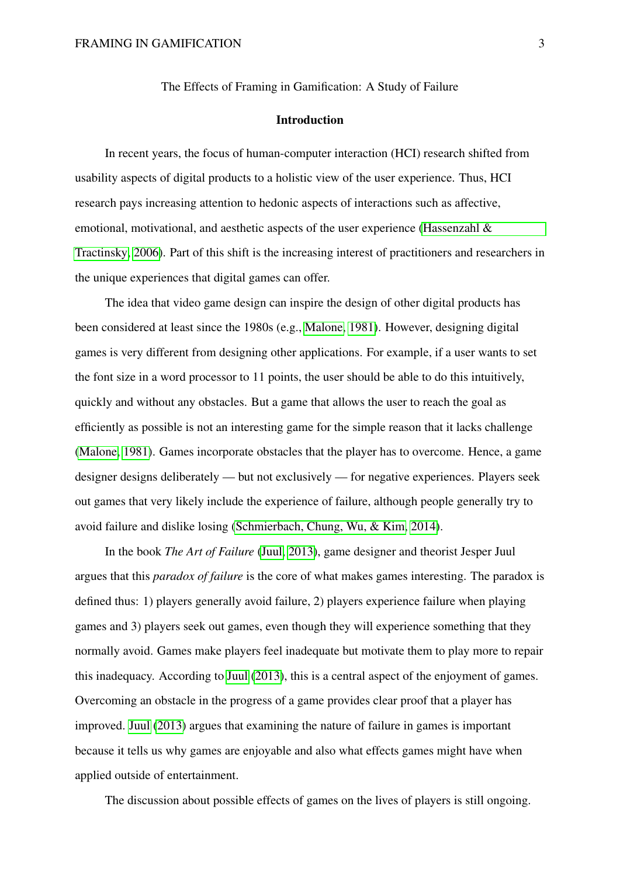The Effects of Framing in Gamification: A Study of Failure

#### Introduction

In recent years, the focus of human-computer interaction (HCI) research shifted from usability aspects of digital products to a holistic view of the user experience. Thus, HCI research pays increasing attention to hedonic aspects of interactions such as affective, emotional, motivational, and aesthetic aspects of the user experience (Hassenzahl  $\&$ [Tractinsky, 2006\)](#page-58-0). Part of this shift is the increasing interest of practitioners and researchers in the unique experiences that digital games can offer.

The idea that video game design can inspire the design of other digital products has been considered at least since the 1980s (e.g., [Malone, 1981\)](#page-58-1). However, designing digital games is very different from designing other applications. For example, if a user wants to set the font size in a word processor to 11 points, the user should be able to do this intuitively, quickly and without any obstacles. But a game that allows the user to reach the goal as efficiently as possible is not an interesting game for the simple reason that it lacks challenge [\(Malone, 1981\)](#page-58-1). Games incorporate obstacles that the player has to overcome. Hence, a game designer designs deliberately — but not exclusively — for negative experiences. Players seek out games that very likely include the experience of failure, although people generally try to avoid failure and dislike losing [\(Schmierbach, Chung, Wu, & Kim, 2014\)](#page-60-0).

In the book *The Art of Failure* [\(Juul, 2013\)](#page-58-2), game designer and theorist Jesper Juul argues that this *paradox of failure* is the core of what makes games interesting. The paradox is defined thus: 1) players generally avoid failure, 2) players experience failure when playing games and 3) players seek out games, even though they will experience something that they normally avoid. Games make players feel inadequate but motivate them to play more to repair this inadequacy. According to [Juul](#page-58-2) [\(2013\)](#page-58-2), this is a central aspect of the enjoyment of games. Overcoming an obstacle in the progress of a game provides clear proof that a player has improved. [Juul](#page-58-2) [\(2013\)](#page-58-2) argues that examining the nature of failure in games is important because it tells us why games are enjoyable and also what effects games might have when applied outside of entertainment.

The discussion about possible effects of games on the lives of players is still ongoing.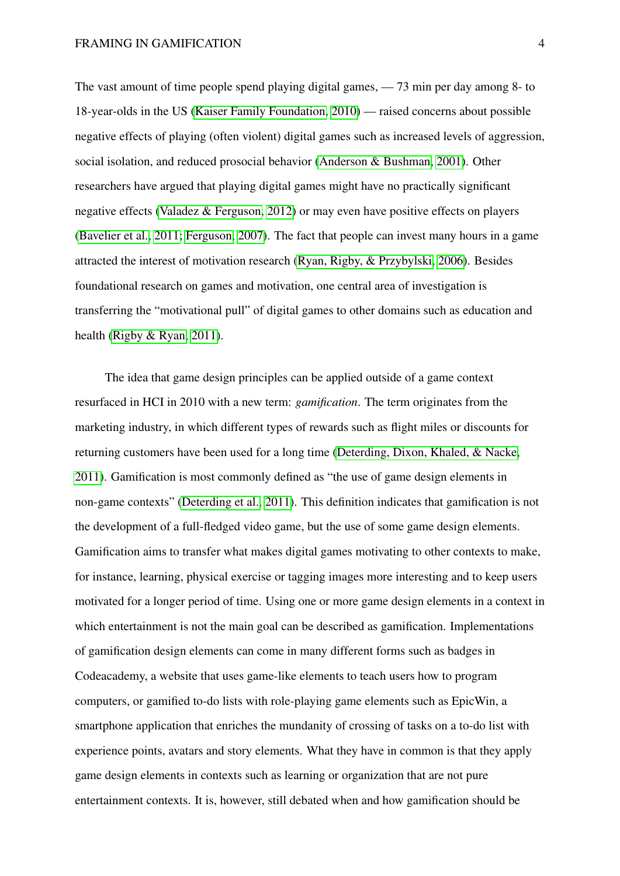The vast amount of time people spend playing digital games, — 73 min per day among 8- to 18-year-olds in the US [\(Kaiser Family Foundation, 2010\)](#page-58-3) — raised concerns about possible negative effects of playing (often violent) digital games such as increased levels of aggression, social isolation, and reduced prosocial behavior [\(Anderson & Bushman, 2001\)](#page-56-0). Other researchers have argued that playing digital games might have no practically significant negative effects [\(Valadez & Ferguson, 2012\)](#page-60-1) or may even have positive effects on players [\(Bavelier et al., 2011;](#page-56-1) [Ferguson, 2007\)](#page-57-0). The fact that people can invest many hours in a game attracted the interest of motivation research [\(Ryan, Rigby, & Przybylski, 2006\)](#page-60-2). Besides foundational research on games and motivation, one central area of investigation is transferring the "motivational pull" of digital games to other domains such as education and health [\(Rigby & Ryan, 2011\)](#page-59-0).

The idea that game design principles can be applied outside of a game context resurfaced in HCI in 2010 with a new term: *gamification*. The term originates from the marketing industry, in which different types of rewards such as flight miles or discounts for returning customers have been used for a long time [\(Deterding, Dixon, Khaled, & Nacke,](#page-57-1) [2011\)](#page-57-1). Gamification is most commonly defined as "the use of game design elements in non-game contexts" [\(Deterding et al., 2011\)](#page-57-1). This definition indicates that gamification is not the development of a full-fledged video game, but the use of some game design elements. Gamification aims to transfer what makes digital games motivating to other contexts to make, for instance, learning, physical exercise or tagging images more interesting and to keep users motivated for a longer period of time. Using one or more game design elements in a context in which entertainment is not the main goal can be described as gamification. Implementations of gamification design elements can come in many different forms such as badges in Codeacademy, a website that uses game-like elements to teach users how to program computers, or gamified to-do lists with role-playing game elements such as EpicWin, a smartphone application that enriches the mundanity of crossing of tasks on a to-do list with experience points, avatars and story elements. What they have in common is that they apply game design elements in contexts such as learning or organization that are not pure entertainment contexts. It is, however, still debated when and how gamification should be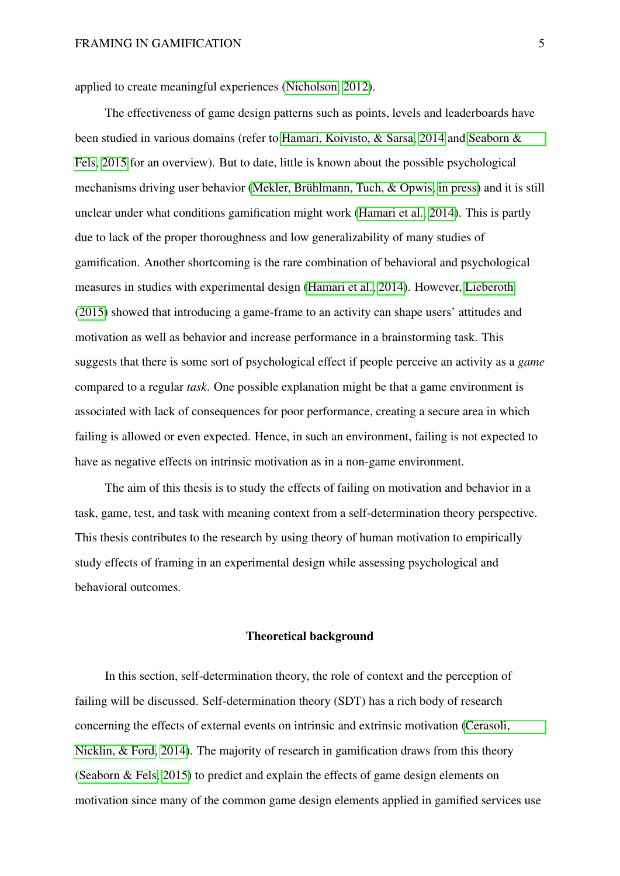applied to create meaningful experiences [\(Nicholson, 2012\)](#page-59-1).

The effectiveness of game design patterns such as points, levels and leaderboards have been studied in various domains (refer to [Hamari, Koivisto, & Sarsa, 2014](#page-57-2) and [Seaborn &](#page-60-3) [Fels, 2015](#page-60-3) for an overview). But to date, little is known about the possible psychological mechanisms driving user behavior [\(Mekler, Brühlmann, Tuch, & Opwis, in press\)](#page-59-2) and it is still unclear under what conditions gamification might work [\(Hamari et al., 2014\)](#page-57-2). This is partly due to lack of the proper thoroughness and low generalizability of many studies of gamification. Another shortcoming is the rare combination of behavioral and psychological measures in studies with experimental design [\(Hamari et al., 2014\)](#page-57-2). However, [Lieberoth](#page-58-4) [\(2015\)](#page-58-4) showed that introducing a game-frame to an activity can shape users' attitudes and motivation as well as behavior and increase performance in a brainstorming task. This suggests that there is some sort of psychological effect if people perceive an activity as a *game* compared to a regular *task*. One possible explanation might be that a game environment is associated with lack of consequences for poor performance, creating a secure area in which failing is allowed or even expected. Hence, in such an environment, failing is not expected to have as negative effects on intrinsic motivation as in a non-game environment.

The aim of this thesis is to study the effects of failing on motivation and behavior in a task, game, test, and task with meaning context from a self-determination theory perspective. This thesis contributes to the research by using theory of human motivation to empirically study effects of framing in an experimental design while assessing psychological and behavioral outcomes.

#### Theoretical background

In this section, self-determination theory, the role of context and the perception of failing will be discussed. Self-determination theory (SDT) has a rich body of research concerning the effects of external events on intrinsic and extrinsic motivation [\(Cerasoli,](#page-56-2) [Nicklin, & Ford, 2014\)](#page-56-2). The majority of research in gamification draws from this theory [\(Seaborn & Fels, 2015\)](#page-60-3) to predict and explain the effects of game design elements on motivation since many of the common game design elements applied in gamified services use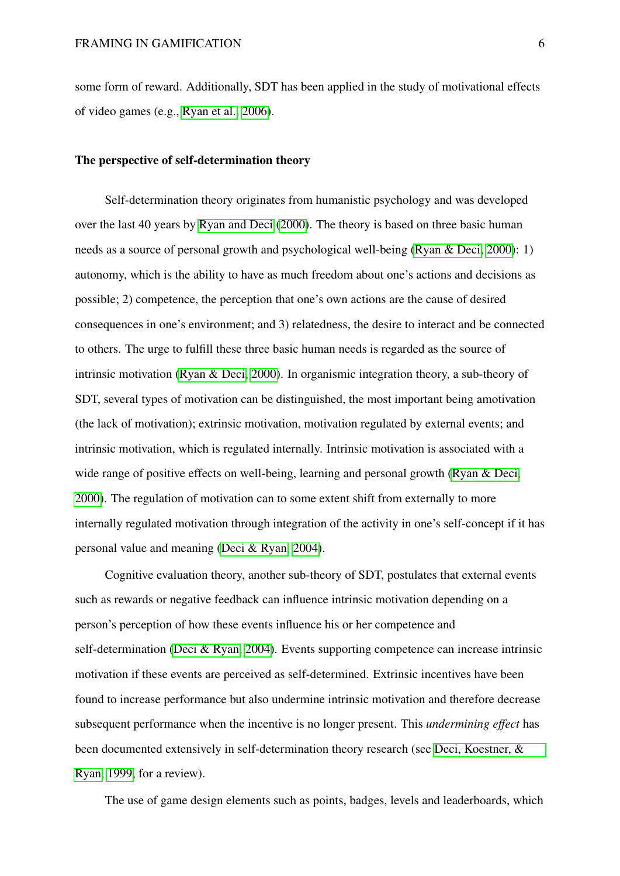some form of reward. Additionally, SDT has been applied in the study of motivational effects of video games (e.g., [Ryan et al., 2006\)](#page-60-2).

#### The perspective of self-determination theory

Self-determination theory originates from humanistic psychology and was developed over the last 40 years by [Ryan and Deci](#page-60-4) [\(2000\)](#page-60-4). The theory is based on three basic human needs as a source of personal growth and psychological well-being [\(Ryan & Deci, 2000\)](#page-60-4): 1) autonomy, which is the ability to have as much freedom about one's actions and decisions as possible; 2) competence, the perception that one's own actions are the cause of desired consequences in one's environment; and 3) relatedness, the desire to interact and be connected to others. The urge to fulfill these three basic human needs is regarded as the source of intrinsic motivation [\(Ryan & Deci, 2000\)](#page-60-4). In organismic integration theory, a sub-theory of SDT, several types of motivation can be distinguished, the most important being amotivation (the lack of motivation); extrinsic motivation, motivation regulated by external events; and intrinsic motivation, which is regulated internally. Intrinsic motivation is associated with a wide range of positive effects on well-being, learning and personal growth [\(Ryan & Deci,](#page-60-4) [2000\)](#page-60-4). The regulation of motivation can to some extent shift from externally to more internally regulated motivation through integration of the activity in one's self-concept if it has personal value and meaning [\(Deci & Ryan, 2004\)](#page-57-3).

Cognitive evaluation theory, another sub-theory of SDT, postulates that external events such as rewards or negative feedback can influence intrinsic motivation depending on a person's perception of how these events influence his or her competence and self-determination [\(Deci & Ryan, 2004\)](#page-57-3). Events supporting competence can increase intrinsic motivation if these events are perceived as self-determined. Extrinsic incentives have been found to increase performance but also undermine intrinsic motivation and therefore decrease subsequent performance when the incentive is no longer present. This *undermining effect* has been documented extensively in self-determination theory research (see [Deci, Koestner, &](#page-56-3) [Ryan, 1999,](#page-56-3) for a review).

The use of game design elements such as points, badges, levels and leaderboards, which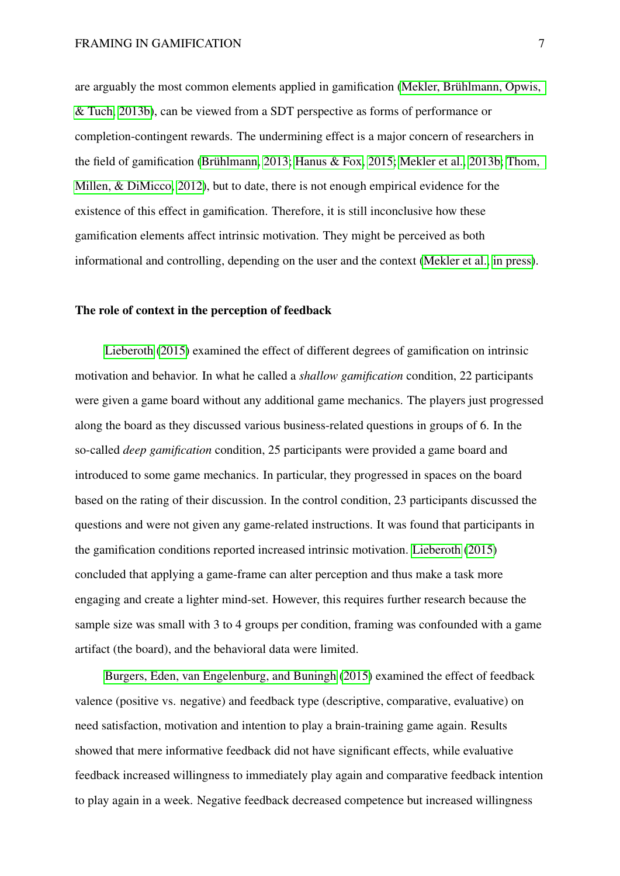are arguably the most common elements applied in gamification [\(Mekler, Brühlmann, Opwis,](#page-59-3) [& Tuch, 2013b\)](#page-59-3), can be viewed from a SDT perspective as forms of performance or completion-contingent rewards. The undermining effect is a major concern of researchers in the field of gamification [\(Brühlmann, 2013;](#page-56-4) [Hanus & Fox, 2015;](#page-57-4) [Mekler et al., 2013b;](#page-59-3) [Thom,](#page-60-5) [Millen, & DiMicco, 2012\)](#page-60-5), but to date, there is not enough empirical evidence for the existence of this effect in gamification. Therefore, it is still inconclusive how these gamification elements affect intrinsic motivation. They might be perceived as both informational and controlling, depending on the user and the context [\(Mekler et al., in press\)](#page-59-2).

#### The role of context in the perception of feedback

[Lieberoth](#page-58-4) [\(2015\)](#page-58-4) examined the effect of different degrees of gamification on intrinsic motivation and behavior. In what he called a *shallow gamification* condition, 22 participants were given a game board without any additional game mechanics. The players just progressed along the board as they discussed various business-related questions in groups of 6. In the so-called *deep gamification* condition, 25 participants were provided a game board and introduced to some game mechanics. In particular, they progressed in spaces on the board based on the rating of their discussion. In the control condition, 23 participants discussed the questions and were not given any game-related instructions. It was found that participants in the gamification conditions reported increased intrinsic motivation. [Lieberoth](#page-58-4) [\(2015\)](#page-58-4) concluded that applying a game-frame can alter perception and thus make a task more engaging and create a lighter mind-set. However, this requires further research because the sample size was small with 3 to 4 groups per condition, framing was confounded with a game artifact (the board), and the behavioral data were limited.

[Burgers, Eden, van Engelenburg, and Buningh](#page-56-5) [\(2015\)](#page-56-5) examined the effect of feedback valence (positive vs. negative) and feedback type (descriptive, comparative, evaluative) on need satisfaction, motivation and intention to play a brain-training game again. Results showed that mere informative feedback did not have significant effects, while evaluative feedback increased willingness to immediately play again and comparative feedback intention to play again in a week. Negative feedback decreased competence but increased willingness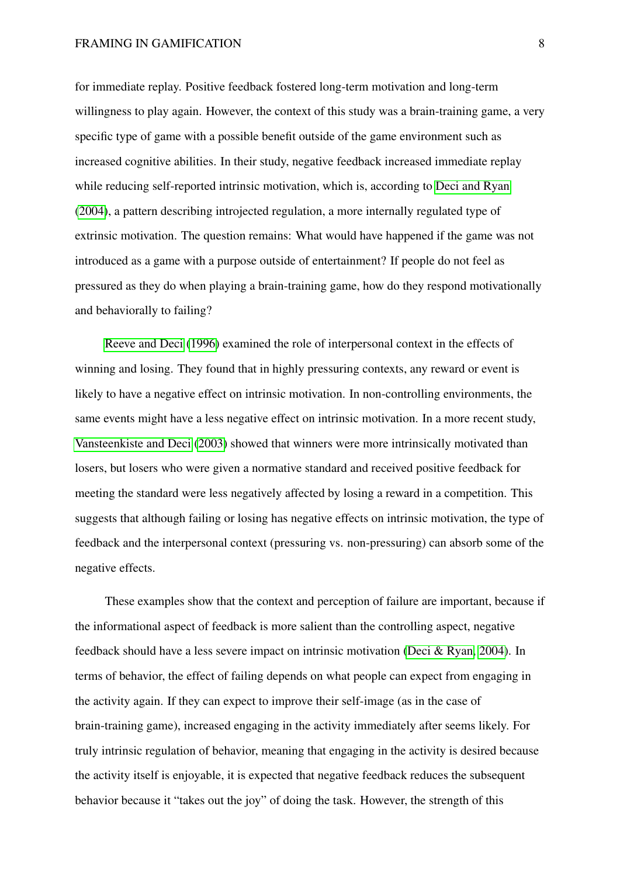for immediate replay. Positive feedback fostered long-term motivation and long-term willingness to play again. However, the context of this study was a brain-training game, a very specific type of game with a possible benefit outside of the game environment such as increased cognitive abilities. In their study, negative feedback increased immediate replay while reducing self-reported intrinsic motivation, which is, according to [Deci and Ryan](#page-57-3) [\(2004\)](#page-57-3), a pattern describing introjected regulation, a more internally regulated type of extrinsic motivation. The question remains: What would have happened if the game was not introduced as a game with a purpose outside of entertainment? If people do not feel as pressured as they do when playing a brain-training game, how do they respond motivationally and behaviorally to failing?

[Reeve and Deci](#page-59-4) [\(1996\)](#page-59-4) examined the role of interpersonal context in the effects of winning and losing. They found that in highly pressuring contexts, any reward or event is likely to have a negative effect on intrinsic motivation. In non-controlling environments, the same events might have a less negative effect on intrinsic motivation. In a more recent study, [Vansteenkiste and Deci](#page-61-0) [\(2003\)](#page-61-0) showed that winners were more intrinsically motivated than losers, but losers who were given a normative standard and received positive feedback for meeting the standard were less negatively affected by losing a reward in a competition. This suggests that although failing or losing has negative effects on intrinsic motivation, the type of feedback and the interpersonal context (pressuring vs. non-pressuring) can absorb some of the negative effects.

These examples show that the context and perception of failure are important, because if the informational aspect of feedback is more salient than the controlling aspect, negative feedback should have a less severe impact on intrinsic motivation [\(Deci & Ryan, 2004\)](#page-57-3). In terms of behavior, the effect of failing depends on what people can expect from engaging in the activity again. If they can expect to improve their self-image (as in the case of brain-training game), increased engaging in the activity immediately after seems likely. For truly intrinsic regulation of behavior, meaning that engaging in the activity is desired because the activity itself is enjoyable, it is expected that negative feedback reduces the subsequent behavior because it "takes out the joy" of doing the task. However, the strength of this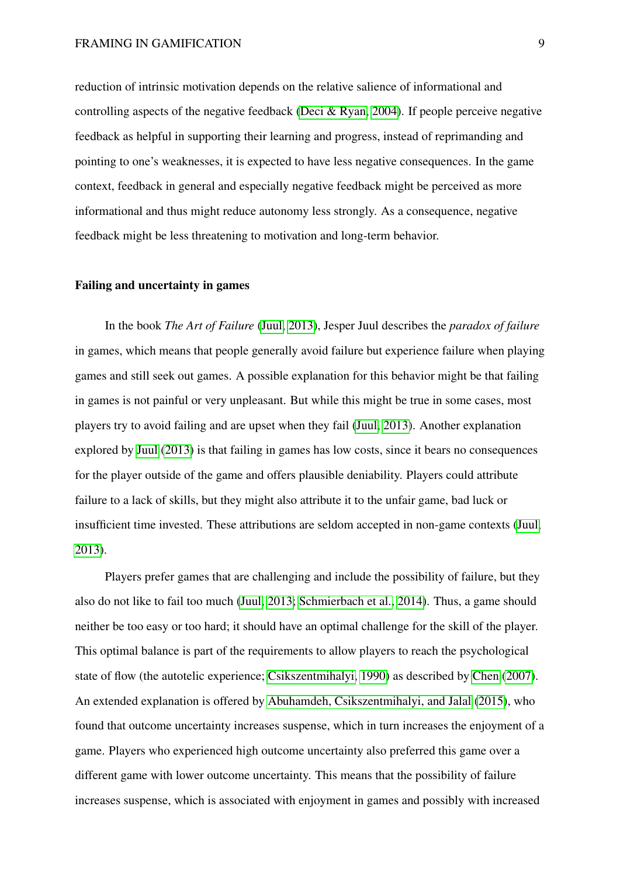reduction of intrinsic motivation depends on the relative salience of informational and controlling aspects of the negative feedback [\(Deci & Ryan, 2004\)](#page-57-3). If people perceive negative feedback as helpful in supporting their learning and progress, instead of reprimanding and pointing to one's weaknesses, it is expected to have less negative consequences. In the game context, feedback in general and especially negative feedback might be perceived as more informational and thus might reduce autonomy less strongly. As a consequence, negative feedback might be less threatening to motivation and long-term behavior.

#### Failing and uncertainty in games

In the book *The Art of Failure* [\(Juul, 2013\)](#page-58-2), Jesper Juul describes the *paradox of failure* in games, which means that people generally avoid failure but experience failure when playing games and still seek out games. A possible explanation for this behavior might be that failing in games is not painful or very unpleasant. But while this might be true in some cases, most players try to avoid failing and are upset when they fail [\(Juul, 2013\)](#page-58-2). Another explanation explored by [Juul](#page-58-2) [\(2013\)](#page-58-2) is that failing in games has low costs, since it bears no consequences for the player outside of the game and offers plausible deniability. Players could attribute failure to a lack of skills, but they might also attribute it to the unfair game, bad luck or insufficient time invested. These attributions are seldom accepted in non-game contexts [\(Juul,](#page-58-2) [2013\)](#page-58-2).

Players prefer games that are challenging and include the possibility of failure, but they also do not like to fail too much [\(Juul, 2013;](#page-58-2) [Schmierbach et al., 2014\)](#page-60-0). Thus, a game should neither be too easy or too hard; it should have an optimal challenge for the skill of the player. This optimal balance is part of the requirements to allow players to reach the psychological state of flow (the autotelic experience; [Csikszentmihalyi, 1990\)](#page-56-6) as described by [Chen](#page-56-7) [\(2007\)](#page-56-7). An extended explanation is offered by [Abuhamdeh, Csikszentmihalyi, and Jalal](#page-56-8) [\(2015\)](#page-56-8), who found that outcome uncertainty increases suspense, which in turn increases the enjoyment of a game. Players who experienced high outcome uncertainty also preferred this game over a different game with lower outcome uncertainty. This means that the possibility of failure increases suspense, which is associated with enjoyment in games and possibly with increased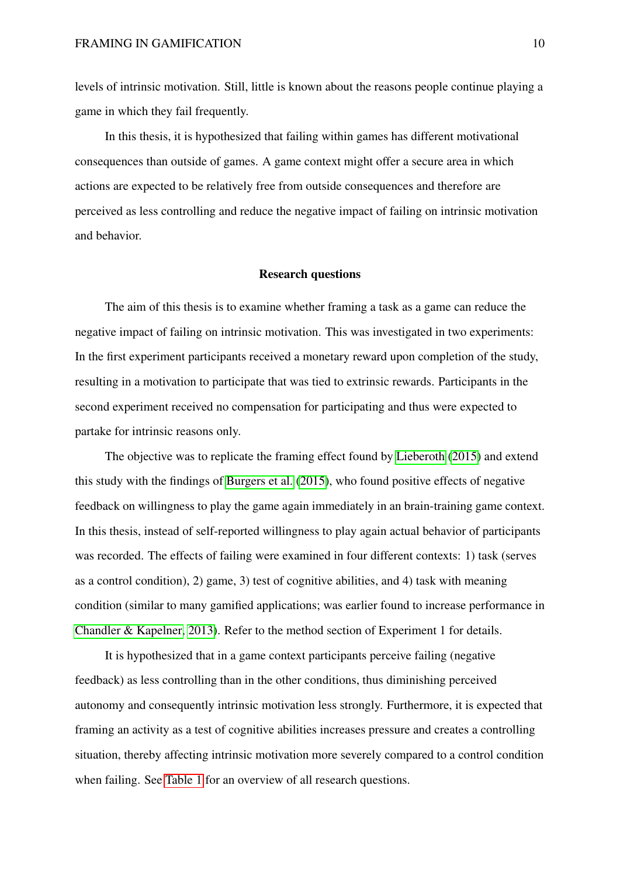levels of intrinsic motivation. Still, little is known about the reasons people continue playing a game in which they fail frequently.

In this thesis, it is hypothesized that failing within games has different motivational consequences than outside of games. A game context might offer a secure area in which actions are expected to be relatively free from outside consequences and therefore are perceived as less controlling and reduce the negative impact of failing on intrinsic motivation and behavior.

#### Research questions

The aim of this thesis is to examine whether framing a task as a game can reduce the negative impact of failing on intrinsic motivation. This was investigated in two experiments: In the first experiment participants received a monetary reward upon completion of the study, resulting in a motivation to participate that was tied to extrinsic rewards. Participants in the second experiment received no compensation for participating and thus were expected to partake for intrinsic reasons only.

The objective was to replicate the framing effect found by [Lieberoth](#page-58-4) [\(2015\)](#page-58-4) and extend this study with the findings of [Burgers et al.](#page-56-5) [\(2015\)](#page-56-5), who found positive effects of negative feedback on willingness to play the game again immediately in an brain-training game context. In this thesis, instead of self-reported willingness to play again actual behavior of participants was recorded. The effects of failing were examined in four different contexts: 1) task (serves as a control condition), 2) game, 3) test of cognitive abilities, and 4) task with meaning condition (similar to many gamified applications; was earlier found to increase performance in [Chandler & Kapelner, 2013\)](#page-56-9). Refer to the method section of Experiment 1 for details.

It is hypothesized that in a game context participants perceive failing (negative feedback) as less controlling than in the other conditions, thus diminishing perceived autonomy and consequently intrinsic motivation less strongly. Furthermore, it is expected that framing an activity as a test of cognitive abilities increases pressure and creates a controlling situation, thereby affecting intrinsic motivation more severely compared to a control condition when failing. See [Table 1](#page-10-0) for an overview of all research questions.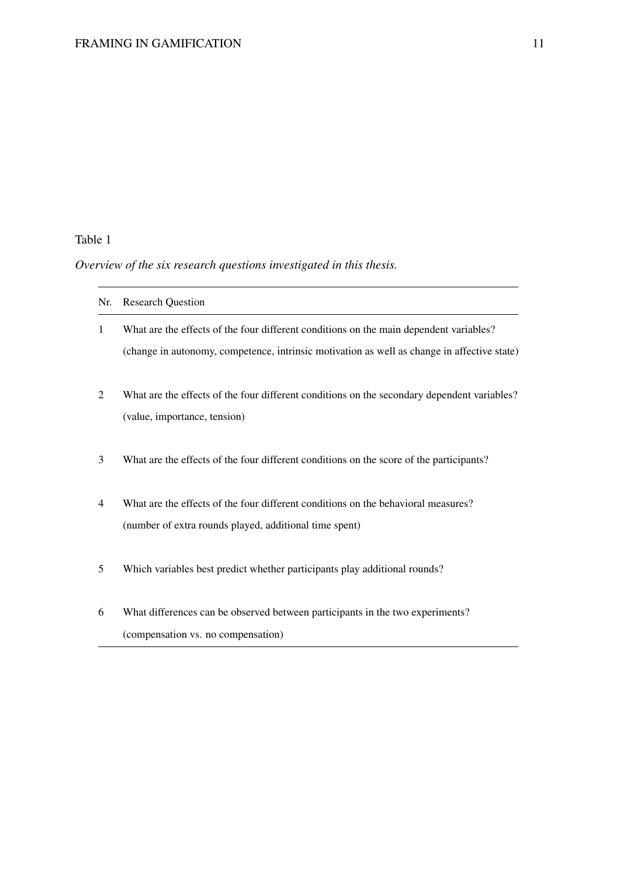# <span id="page-10-0"></span>Table 1

# *Overview of the six research questions investigated in this thesis.*

| Nr. | <b>Research Question</b>                                                                    |
|-----|---------------------------------------------------------------------------------------------|
| 1   | What are the effects of the four different conditions on the main dependent variables?      |
|     | (change in autonomy, competence, intrinsic motivation as well as change in affective state) |
| 2   | What are the effects of the four different conditions on the secondary dependent variables? |
|     | (value, importance, tension)                                                                |
| 3   | What are the effects of the four different conditions on the score of the participants?     |
| 4   | What are the effects of the four different conditions on the behavioral measures?           |
|     | (number of extra rounds played, additional time spent)                                      |
| 5   | Which variables best predict whether participants play additional rounds?                   |
| 6   | What differences can be observed between participants in the two experiments?               |
|     | (compensation vs. no compensation)                                                          |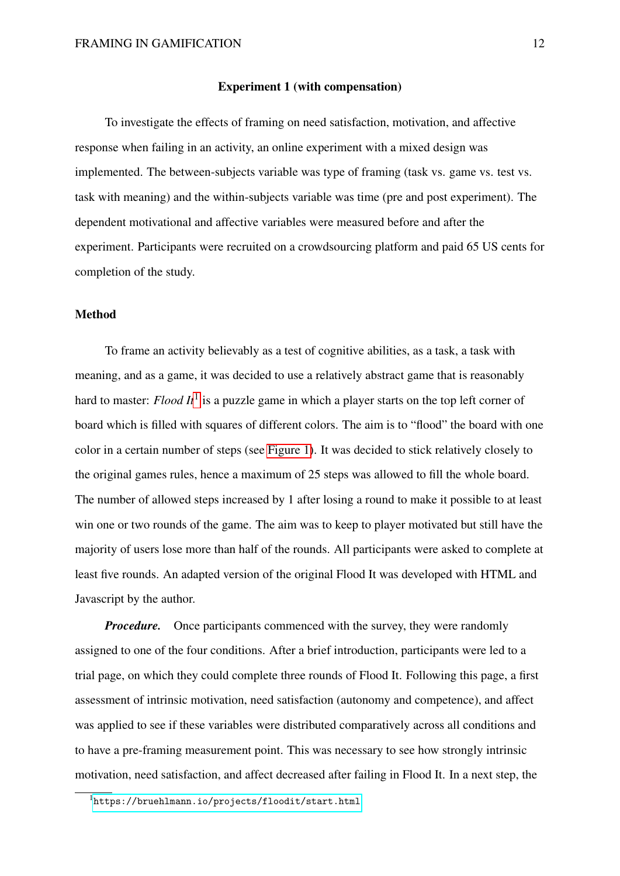#### Experiment 1 (with compensation)

To investigate the effects of framing on need satisfaction, motivation, and affective response when failing in an activity, an online experiment with a mixed design was implemented. The between-subjects variable was type of framing (task vs. game vs. test vs. task with meaning) and the within-subjects variable was time (pre and post experiment). The dependent motivational and affective variables were measured before and after the experiment. Participants were recruited on a crowdsourcing platform and paid 65 US cents for completion of the study.

#### Method

To frame an activity believably as a test of cognitive abilities, as a task, a task with meaning, and as a game, it was decided to use a relatively abstract game that is reasonably hard to master: *Flood It*[1](#page-11-0) is a puzzle game in which a player starts on the top left corner of board which is filled with squares of different colors. The aim is to "flood" the board with one color in a certain number of steps (see [Figure 1\)](#page-12-0). It was decided to stick relatively closely to the original games rules, hence a maximum of 25 steps was allowed to fill the whole board. The number of allowed steps increased by 1 after losing a round to make it possible to at least win one or two rounds of the game. The aim was to keep to player motivated but still have the majority of users lose more than half of the rounds. All participants were asked to complete at least five rounds. An adapted version of the original Flood It was developed with HTML and Javascript by the author.

*Procedure.* Once participants commenced with the survey, they were randomly assigned to one of the four conditions. After a brief introduction, participants were led to a trial page, on which they could complete three rounds of Flood It. Following this page, a first assessment of intrinsic motivation, need satisfaction (autonomy and competence), and affect was applied to see if these variables were distributed comparatively across all conditions and to have a pre-framing measurement point. This was necessary to see how strongly intrinsic motivation, need satisfaction, and affect decreased after failing in Flood It. In a next step, the

<span id="page-11-0"></span> $1$ <https://bruehlmann.io/projects/floodit/start.html>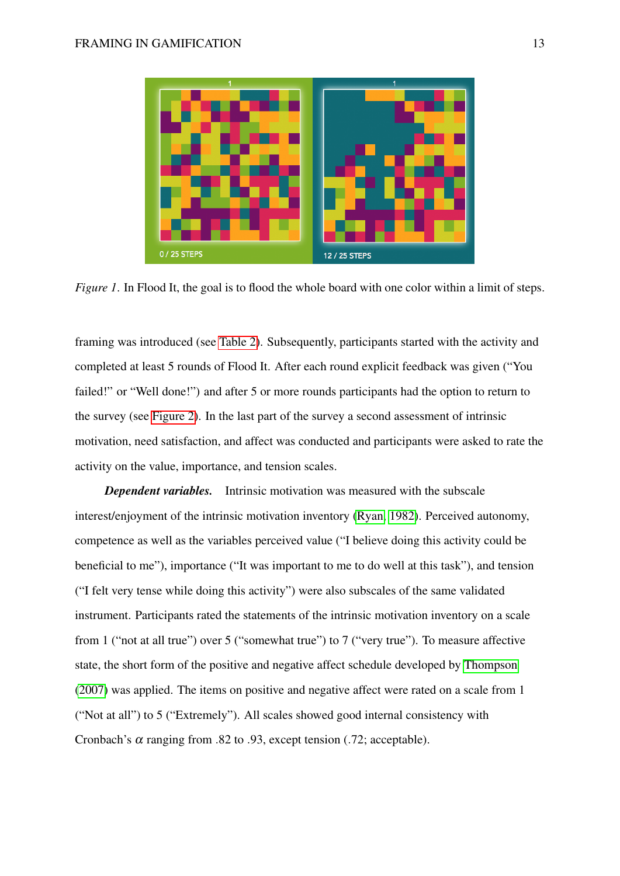<span id="page-12-0"></span>

*Figure 1*. In Flood It, the goal is to flood the whole board with one color within a limit of steps.

framing was introduced (see [Table 2\)](#page-13-0). Subsequently, participants started with the activity and completed at least 5 rounds of Flood It. After each round explicit feedback was given ("You failed!" or "Well done!") and after 5 or more rounds participants had the option to return to the survey (see [Figure 2\)](#page-13-1). In the last part of the survey a second assessment of intrinsic motivation, need satisfaction, and affect was conducted and participants were asked to rate the activity on the value, importance, and tension scales.

*Dependent variables.* Intrinsic motivation was measured with the subscale interest/enjoyment of the intrinsic motivation inventory [\(Ryan, 1982\)](#page-60-6). Perceived autonomy, competence as well as the variables perceived value ("I believe doing this activity could be beneficial to me"), importance ("It was important to me to do well at this task"), and tension ("I felt very tense while doing this activity") were also subscales of the same validated instrument. Participants rated the statements of the intrinsic motivation inventory on a scale from 1 ("not at all true") over 5 ("somewhat true") to 7 ("very true"). To measure affective state, the short form of the positive and negative affect schedule developed by [Thompson](#page-60-7) [\(2007\)](#page-60-7) was applied. The items on positive and negative affect were rated on a scale from 1 ("Not at all") to 5 ("Extremely"). All scales showed good internal consistency with Cronbach's  $\alpha$  ranging from .82 to .93, except tension (.72; acceptable).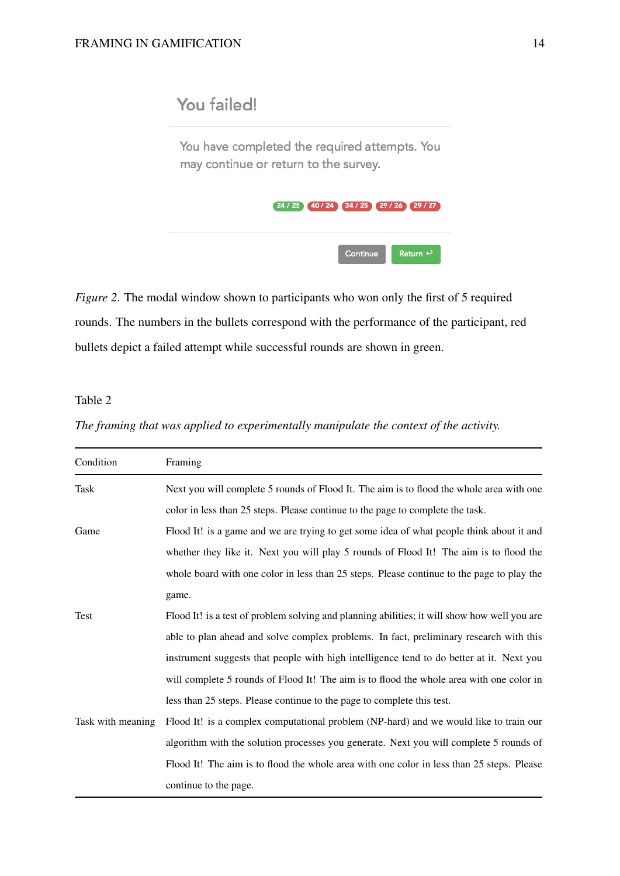# <span id="page-13-1"></span>You failed!

You have completed the required attempts. You may continue or return to the survey.



*Figure 2*. The modal window shown to participants who won only the first of 5 required rounds. The numbers in the bullets correspond with the performance of the participant, red bullets depict a failed attempt while successful rounds are shown in green.

## <span id="page-13-0"></span>Table 2

|  |  |  |  | The framing that was applied to experimentally manipulate the context of the activity. |  |  |  |  |  |  |
|--|--|--|--|----------------------------------------------------------------------------------------|--|--|--|--|--|--|
|--|--|--|--|----------------------------------------------------------------------------------------|--|--|--|--|--|--|

| Condition         | Framing                                                                                      |
|-------------------|----------------------------------------------------------------------------------------------|
| Task              | Next you will complete 5 rounds of Flood It. The aim is to flood the whole area with one     |
|                   | color in less than 25 steps. Please continue to the page to complete the task.               |
| Game              | Flood It! is a game and we are trying to get some idea of what people think about it and     |
|                   | whether they like it. Next you will play 5 rounds of Flood It! The aim is to flood the       |
|                   | whole board with one color in less than 25 steps. Please continue to the page to play the    |
|                   | game.                                                                                        |
| Test              | Flood It! is a test of problem solving and planning abilities; it will show how well you are |
|                   | able to plan ahead and solve complex problems. In fact, preliminary research with this       |
|                   | instrument suggests that people with high intelligence tend to do better at it. Next you     |
|                   | will complete 5 rounds of Flood It! The aim is to flood the whole area with one color in     |
|                   | less than 25 steps. Please continue to the page to complete this test.                       |
| Task with meaning | Flood It! is a complex computational problem (NP-hard) and we would like to train our        |
|                   | algorithm with the solution processes you generate. Next you will complete 5 rounds of       |
|                   | Flood It! The aim is to flood the whole area with one color in less than 25 steps. Please    |
|                   | continue to the page.                                                                        |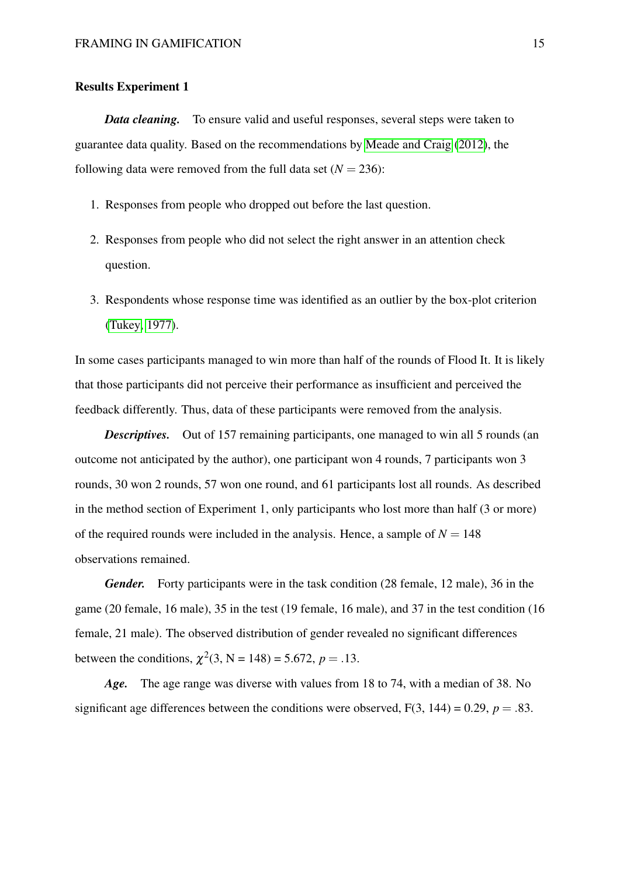#### Results Experiment 1

*Data cleaning.* To ensure valid and useful responses, several steps were taken to guarantee data quality. Based on the recommendations by [Meade and Craig](#page-59-5) [\(2012\)](#page-59-5), the following data were removed from the full data set  $(N = 236)$ :

- 1. Responses from people who dropped out before the last question.
- 2. Responses from people who did not select the right answer in an attention check question.
- 3. Respondents whose response time was identified as an outlier by the box-plot criterion [\(Tukey, 1977\)](#page-60-8).

In some cases participants managed to win more than half of the rounds of Flood It. It is likely that those participants did not perceive their performance as insufficient and perceived the feedback differently. Thus, data of these participants were removed from the analysis.

*Descriptives.* Out of 157 remaining participants, one managed to win all 5 rounds (an outcome not anticipated by the author), one participant won 4 rounds, 7 participants won 3 rounds, 30 won 2 rounds, 57 won one round, and 61 participants lost all rounds. As described in the method section of Experiment 1, only participants who lost more than half (3 or more) of the required rounds were included in the analysis. Hence, a sample of  $N = 148$ observations remained.

*Gender.* Forty participants were in the task condition (28 female, 12 male), 36 in the game (20 female, 16 male), 35 in the test (19 female, 16 male), and 37 in the test condition (16 female, 21 male). The observed distribution of gender revealed no significant differences between the conditions,  $\chi^2(3, N = 148) = 5.672$ ,  $p = .13$ .

*Age.* The age range was diverse with values from 18 to 74, with a median of 38. No significant age differences between the conditions were observed,  $F(3, 144) = 0.29$ ,  $p = .83$ .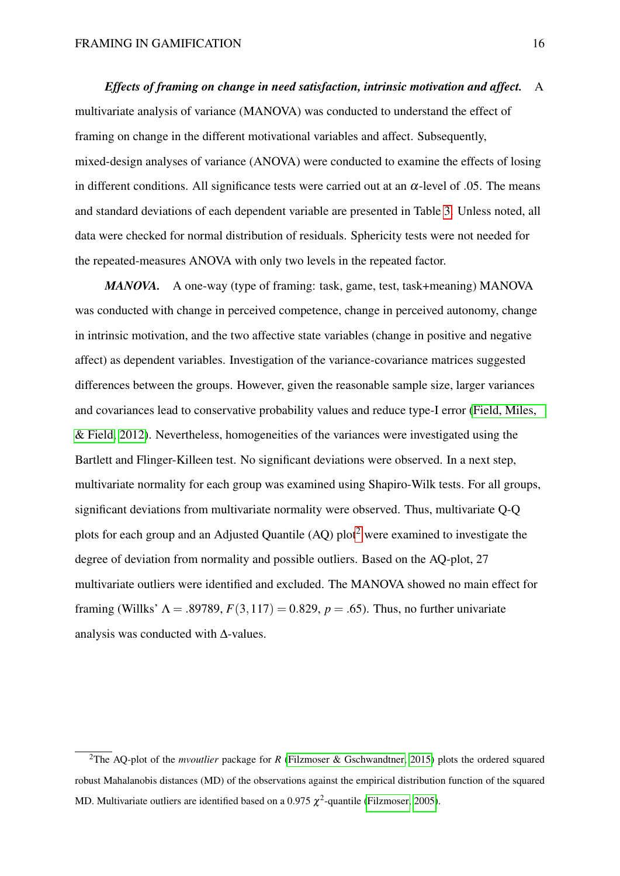*Effects of framing on change in need satisfaction, intrinsic motivation and affect.* A multivariate analysis of variance (MANOVA) was conducted to understand the effect of framing on change in the different motivational variables and affect. Subsequently, mixed-design analyses of variance (ANOVA) were conducted to examine the effects of losing in different conditions. All significance tests were carried out at an  $\alpha$ -level of .05. The means and standard deviations of each dependent variable are presented in Table [3.](#page-16-0) Unless noted, all data were checked for normal distribution of residuals. Sphericity tests were not needed for the repeated-measures ANOVA with only two levels in the repeated factor.

*MANOVA.* A one-way (type of framing: task, game, test, task+meaning) MANOVA was conducted with change in perceived competence, change in perceived autonomy, change in intrinsic motivation, and the two affective state variables (change in positive and negative affect) as dependent variables. Investigation of the variance-covariance matrices suggested differences between the groups. However, given the reasonable sample size, larger variances and covariances lead to conservative probability values and reduce type-I error [\(Field, Miles,](#page-57-5) [& Field, 2012\)](#page-57-5). Nevertheless, homogeneities of the variances were investigated using the Bartlett and Flinger-Killeen test. No significant deviations were observed. In a next step, multivariate normality for each group was examined using Shapiro-Wilk tests. For all groups, significant deviations from multivariate normality were observed. Thus, multivariate Q-Q plots for each group and an Adjusted Quantile  $(AO)$  plot<sup>[2](#page-15-0)</sup> were examined to investigate the degree of deviation from normality and possible outliers. Based on the AQ-plot, 27 multivariate outliers were identified and excluded. The MANOVA showed no main effect for framing (Willks'  $\Lambda = .89789, F(3,117) = 0.829, p = .65$ ). Thus, no further univariate analysis was conducted with ∆-values.

<span id="page-15-0"></span><sup>2</sup>The AQ-plot of the *mvoutlier* package for *R* [\(Filzmoser & Gschwandtner, 2015\)](#page-57-6) plots the ordered squared robust Mahalanobis distances (MD) of the observations against the empirical distribution function of the squared MD. Multivariate outliers are identified based on a 0.975  $\chi^2$ -quantile [\(Filzmoser, 2005\)](#page-57-7).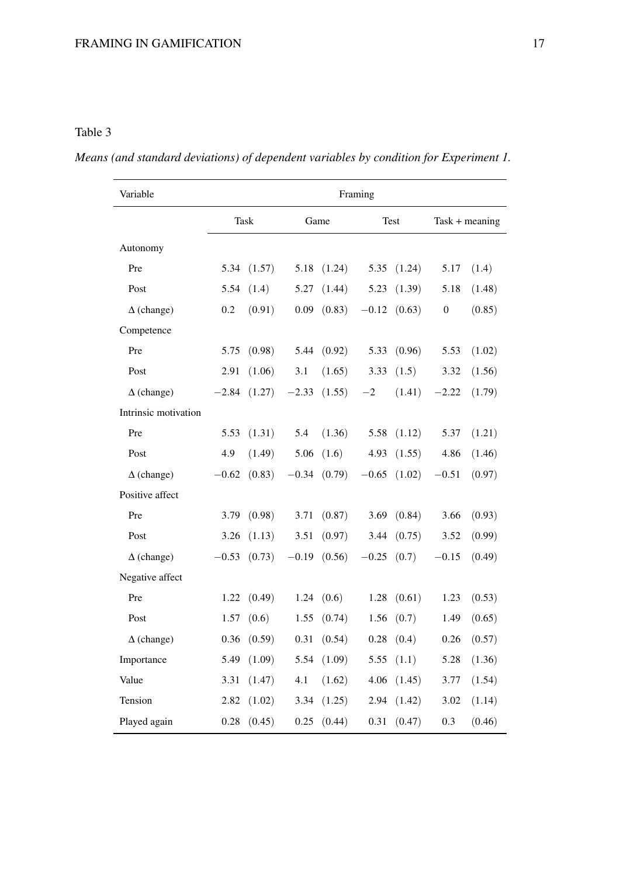# <span id="page-16-0"></span>Table 3

|  |  |  |  |  | Means (and standard deviations) of dependent variables by condition for Experiment 1. |  |
|--|--|--|--|--|---------------------------------------------------------------------------------------|--|
|  |  |  |  |  |                                                                                       |  |

| Variable             | Framing |                 |                     |                  |               |                  |                  |                  |  |
|----------------------|---------|-----------------|---------------------|------------------|---------------|------------------|------------------|------------------|--|
|                      |         | Task            |                     | Game             |               | <b>Test</b>      |                  | $Task + meaning$ |  |
| Autonomy             |         |                 |                     |                  |               |                  |                  |                  |  |
| Pre                  | 5.34    | (1.57)          | 5.18                | (1.24)           | 5.35          | (1.24)           | 5.17             | (1.4)            |  |
| Post                 | 5.54    | (1.4)           | 5.27                | (1.44)           | 5.23          | (1.39)           | 5.18             | (1.48)           |  |
| $\Delta$ (change)    | 0.2     | (0.91)          | 0.09                | (0.83)           |               | $-0.12$ $(0.63)$ | $\boldsymbol{0}$ | (0.85)           |  |
| Competence           |         |                 |                     |                  |               |                  |                  |                  |  |
| Pre                  | 5.75    | (0.98)          | 5.44                | (0.92)           | 5.33          | (0.96)           | 5.53             | (1.02)           |  |
| Post                 | 2.91    | (1.06)          | 3.1                 | (1.65)           | 3.33          | (1.5)            | 3.32             | (1.56)           |  |
| $\Delta$ (change)    | $-2.84$ | (1.27)          | $-2.33$             | (1.55)           | $-2$          | (1.41)           | $-2.22$          | (1.79)           |  |
| Intrinsic motivation |         |                 |                     |                  |               |                  |                  |                  |  |
| Pre                  | 5.53    | (1.31)          | 5.4                 | (1.36)           | 5.58          | (1.12)           | 5.37             | (1.21)           |  |
| Post                 | 4.9     | (1.49)          | 5.06                | (1.6)            | 4.93          | (1.55)           | 4.86             | (1.46)           |  |
| $\Delta$ (change)    | $-0.62$ | (0.83)          |                     | $-0.34$ $(0.79)$ | $-0.65$       | (1.02)           | $-0.51$          | (0.97)           |  |
| Positive affect      |         |                 |                     |                  |               |                  |                  |                  |  |
| Pre                  | 3.79    | (0.98)          | 3.71                | (0.87)           | 3.69          | (0.84)           | 3.66             | (0.93)           |  |
| Post                 | 3.26    | (1.13)          | 3.51                | (0.97)           | 3.44          | (0.75)           | 3.52             | (0.99)           |  |
| $\Delta$ (change)    | $-0.53$ | (0.73)          | $-0.19$             | (0.56)           | $-0.25$ (0.7) |                  | $-0.15$          | (0.49)           |  |
| Negative affect      |         |                 |                     |                  |               |                  |                  |                  |  |
| Pre                  | 1.22    | (0.49)          | 1.24                | (0.6)            | 1.28          | (0.61)           | 1.23             | (0.53)           |  |
| Post                 | 1.57    | (0.6)           | 1.55                | (0.74)           | 1.56          | (0.7)            | 1.49             | (0.65)           |  |
| $\Delta$ (change)    |         | $0.36$ $(0.59)$ | $0.31 \quad (0.54)$ |                  |               | $0.28$ $(0.4)$   |                  | $0.26$ $(0.57)$  |  |
| Importance           | 5.49    | (1.09)          | 5.54                | (1.09)           | 5.55          | (1.1)            | 5.28             | (1.36)           |  |
| Value                | 3.31    | (1.47)          | 4.1                 | (1.62)           | 4.06          | (1.45)           | 3.77             | (1.54)           |  |
| Tension              | 2.82    | (1.02)          | 3.34                | (1.25)           | 2.94          | (1.42)           | 3.02             | (1.14)           |  |
| Played again         | 0.28    | (0.45)          | 0.25                | (0.44)           | 0.31          | (0.47)           | 0.3              | (0.46)           |  |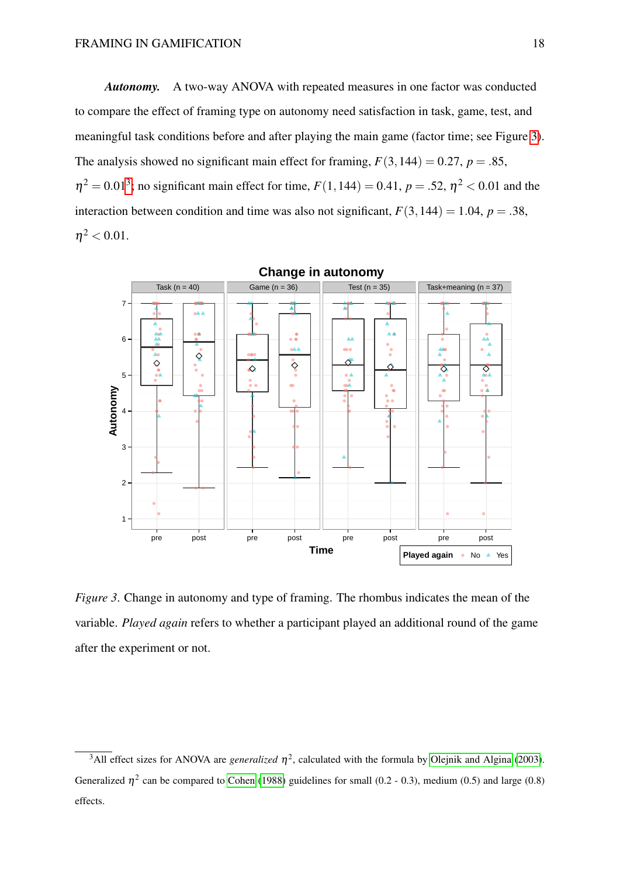*Autonomy.* A two-way ANOVA with repeated measures in one factor was conducted to compare the effect of framing type on autonomy need satisfaction in task, game, test, and meaningful task conditions before and after playing the main game (factor time; see Figure [3\)](#page-17-0). The analysis showed no significant main effect for framing,  $F(3,144) = 0.27$ ,  $p = .85$ ,  $\eta^2 = 0.01^3$  $\eta^2 = 0.01^3$ ; no significant main effect for time,  $F(1,144) = 0.41$ ,  $p = .52$ ,  $\eta^2 < 0.01$  and the interaction between condition and time was also not significant,  $F(3,144) = 1.04$ ,  $p = .38$ ,  $\eta^2 < 0.01$ .

<span id="page-17-0"></span>

*Figure 3*. Change in autonomy and type of framing. The rhombus indicates the mean of the variable. *Played again* refers to whether a participant played an additional round of the game after the experiment or not.

<span id="page-17-1"></span><sup>&</sup>lt;sup>3</sup>All effect sizes for ANOVA are *generalized*  $\eta^2$ , calculated with the formula by [Olejnik and Algina](#page-59-6) [\(2003\)](#page-59-6). Generalized  $\eta^2$  can be compared to [Cohen](#page-56-10) [\(1988\)](#page-56-10) guidelines for small (0.2 - 0.3), medium (0.5) and large (0.8) effects.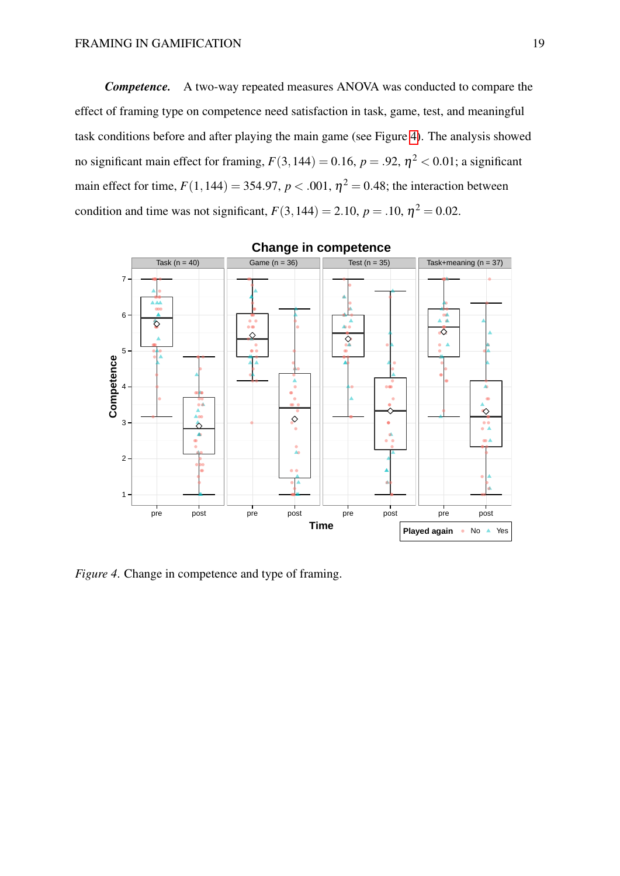*Competence.* A two-way repeated measures ANOVA was conducted to compare the effect of framing type on competence need satisfaction in task, game, test, and meaningful task conditions before and after playing the main game (see Figure [4\)](#page-18-0). The analysis showed no significant main effect for framing,  $F(3,144) = 0.16$ ,  $p = .92$ ,  $\eta^2 < 0.01$ ; a significant main effect for time,  $F(1,144) = 354.97$ ,  $p < .001$ ,  $\eta^2 = 0.48$ ; the interaction between condition and time was not significant,  $F(3,144) = 2.10$ ,  $p = .10$ ,  $\eta^2 = 0.02$ .

<span id="page-18-0"></span>

**Change in competence**

*Figure 4*. Change in competence and type of framing.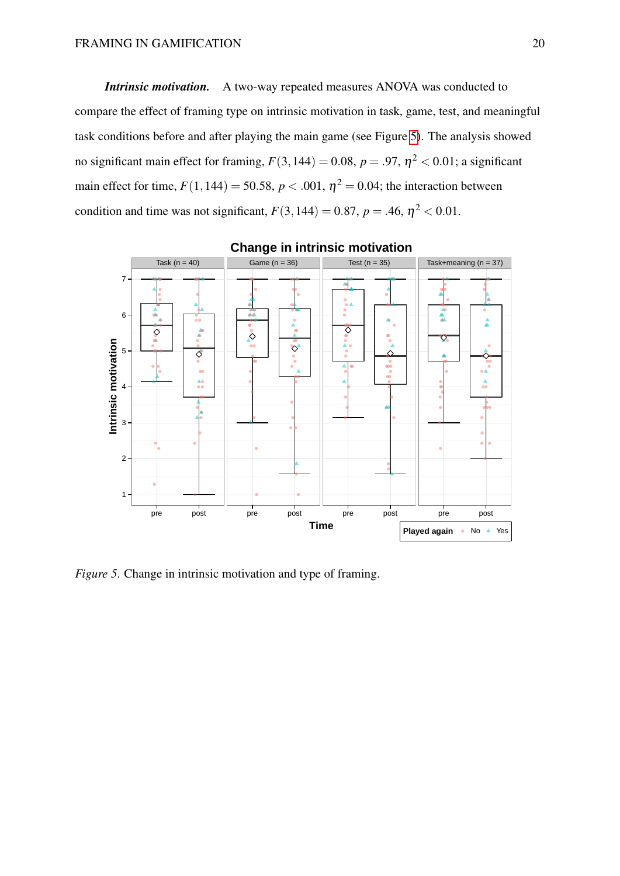*Intrinsic motivation.* A two-way repeated measures ANOVA was conducted to compare the effect of framing type on intrinsic motivation in task, game, test, and meaningful task conditions before and after playing the main game (see Figure [5\)](#page-19-0). The analysis showed no significant main effect for framing,  $F(3,144) = 0.08$ ,  $p = .97$ ,  $\eta^2 < 0.01$ ; a significant main effect for time,  $F(1,144) = 50.58$ ,  $p < .001$ ,  $\eta^2 = 0.04$ ; the interaction between condition and time was not significant,  $F(3,144) = 0.87$ ,  $p = .46$ ,  $\eta^2 < 0.01$ .

<span id="page-19-0"></span>

**Change in intrinsic motivation**

*Figure 5*. Change in intrinsic motivation and type of framing.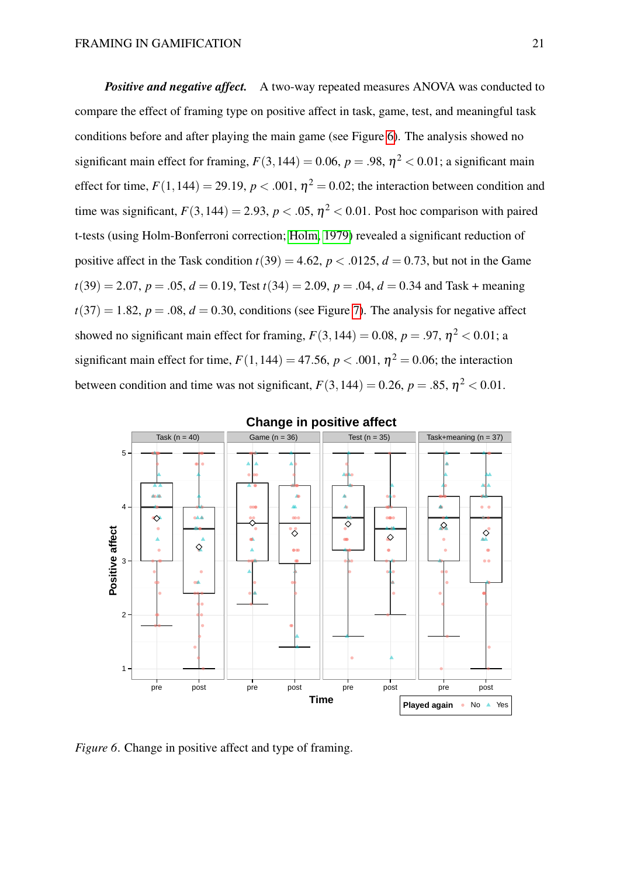*Positive and negative affect.* A two-way repeated measures ANOVA was conducted to compare the effect of framing type on positive affect in task, game, test, and meaningful task conditions before and after playing the main game (see Figure [6\)](#page-20-0). The analysis showed no significant main effect for framing,  $F(3,144) = 0.06$ ,  $p = .98$ ,  $\eta^2 < 0.01$ ; a significant main effect for time,  $F(1,144) = 29.19$ ,  $p < .001$ ,  $\eta^2 = 0.02$ ; the interaction between condition and time was significant,  $F(3,144) = 2.93$ ,  $p < .05$ ,  $\eta^2 < 0.01$ . Post hoc comparison with paired t-tests (using Holm-Bonferroni correction; [Holm, 1979\)](#page-58-5) revealed a significant reduction of positive affect in the Task condition  $t(39) = 4.62$ ,  $p < .0125$ ,  $d = 0.73$ , but not in the Game  $t(39) = 2.07$ ,  $p = .05$ ,  $d = 0.19$ , Test  $t(34) = 2.09$ ,  $p = .04$ ,  $d = 0.34$  and Task + meaning  $t(37) = 1.82$ ,  $p = .08$ ,  $d = 0.30$ , conditions (see Figure [7\)](#page-21-0). The analysis for negative affect showed no significant main effect for framing,  $F(3,144) = 0.08$ ,  $p = .97$ ,  $\eta^2 < 0.01$ ; a significant main effect for time,  $F(1,144) = 47.56$ ,  $p < .001$ ,  $\eta^2 = 0.06$ ; the interaction between condition and time was not significant,  $F(3,144) = 0.26$ ,  $p = .85$ ,  $\eta^2 < 0.01$ .

<span id="page-20-0"></span>

#### **Change in positive affect**

*Figure 6.* Change in positive affect and type of framing.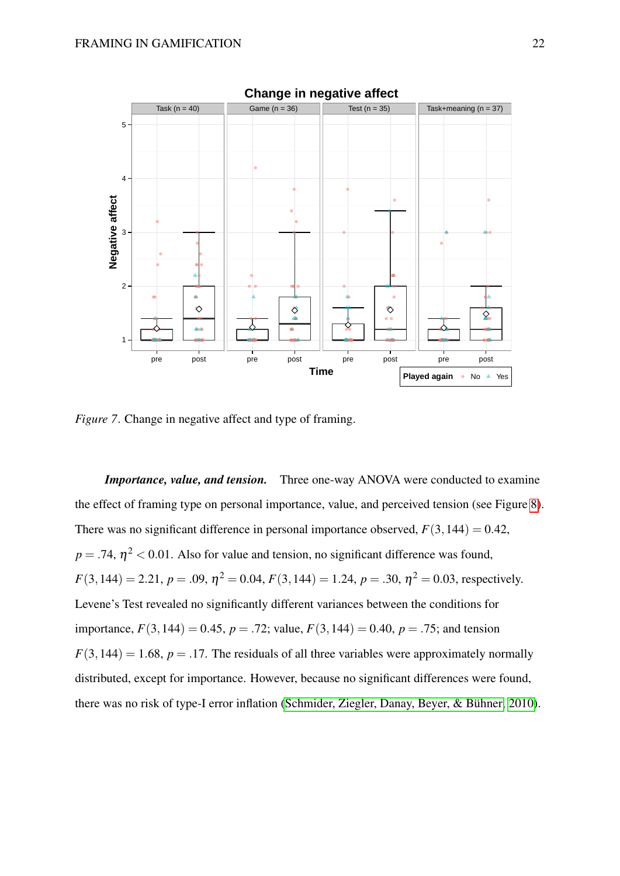<span id="page-21-0"></span>

*Figure 7.* Change in negative affect and type of framing.

*Importance, value, and tension.* Three one-way ANOVA were conducted to examine the effect of framing type on personal importance, value, and perceived tension (see Figure [8\)](#page-22-0). There was no significant difference in personal importance observed,  $F(3,144) = 0.42$ ,  $p = .74$ ,  $\eta^2 < 0.01$ . Also for value and tension, no significant difference was found,  $F(3,144) = 2.21, p = .09, \eta^2 = 0.04, F(3,144) = 1.24, p = .30, \eta^2 = 0.03$ , respectively. Levene's Test revealed no significantly different variances between the conditions for importance,  $F(3,144) = 0.45$ ,  $p = .72$ ; value,  $F(3,144) = 0.40$ ,  $p = .75$ ; and tension  $F(3,144) = 1.68$ ,  $p = .17$ . The residuals of all three variables were approximately normally distributed, except for importance. However, because no significant differences were found, there was no risk of type-I error inflation [\(Schmider, Ziegler, Danay, Beyer, & Bühner, 2010\)](#page-60-9).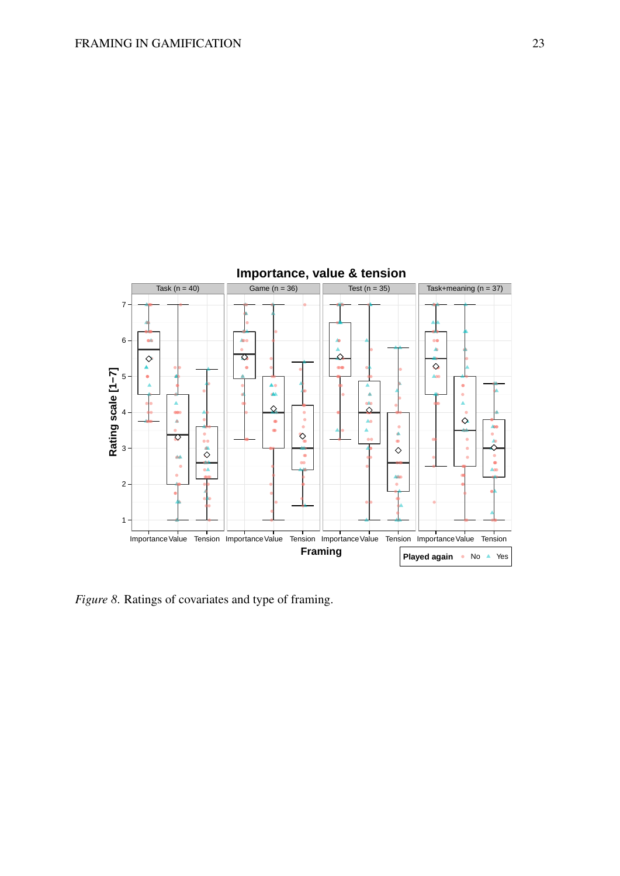<span id="page-22-0"></span>

*Figure 8*. Ratings of covariates and type of framing.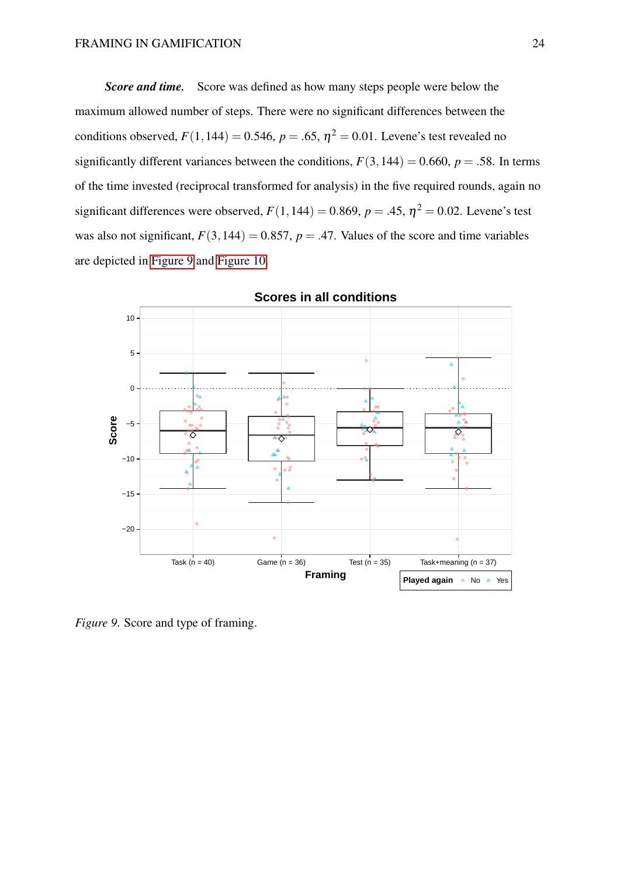*Score and time.* Score was defined as how many steps people were below the maximum allowed number of steps. There were no significant differences between the conditions observed,  $F(1,144) = 0.546$ ,  $p = .65$ ,  $\eta^2 = 0.01$ . Levene's test revealed no significantly different variances between the conditions,  $F(3,144) = 0.660$ ,  $p = .58$ . In terms of the time invested (reciprocal transformed for analysis) in the five required rounds, again no significant differences were observed,  $F(1,144) = 0.869$ ,  $p = .45$ ,  $\eta^2 = 0.02$ . Levene's test was also not significant,  $F(3,144) = 0.857$ ,  $p = .47$ . Values of the score and time variables are depicted in [Figure 9](#page-23-0) and [Figure 10.](#page-24-0)

<span id="page-23-0"></span>

**Scores in all conditions**

*Figure 9*. Score and type of framing.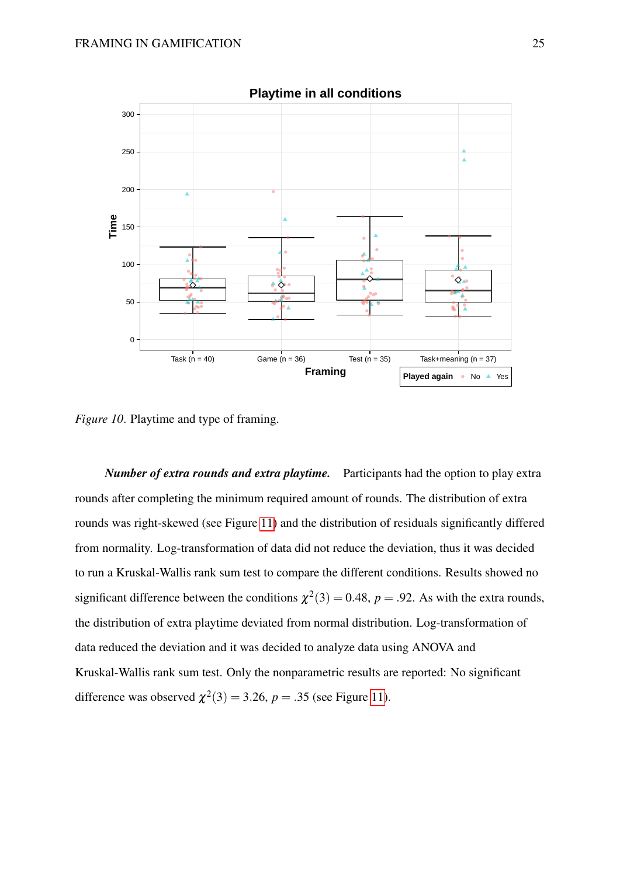<span id="page-24-0"></span>

*Figure 10*. Playtime and type of framing.

*Number of extra rounds and extra playtime.* Participants had the option to play extra rounds after completing the minimum required amount of rounds. The distribution of extra rounds was right-skewed (see Figure [11\)](#page-25-0) and the distribution of residuals significantly differed from normality. Log-transformation of data did not reduce the deviation, thus it was decided to run a Kruskal-Wallis rank sum test to compare the different conditions. Results showed no significant difference between the conditions  $\chi^2(3) = 0.48$ ,  $p = .92$ . As with the extra rounds, the distribution of extra playtime deviated from normal distribution. Log-transformation of data reduced the deviation and it was decided to analyze data using ANOVA and Kruskal-Wallis rank sum test. Only the nonparametric results are reported: No significant difference was observed  $\chi^2(3) = 3.26$ ,  $p = .35$  (see Figure [11\)](#page-25-0).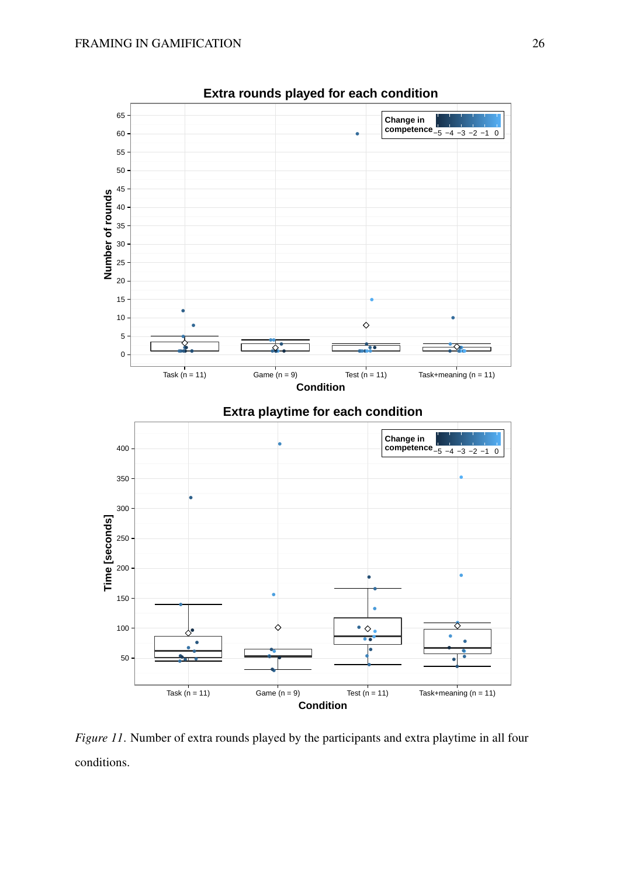<span id="page-25-0"></span>

*Figure 11*. Number of extra rounds played by the participants and extra playtime in all four conditions.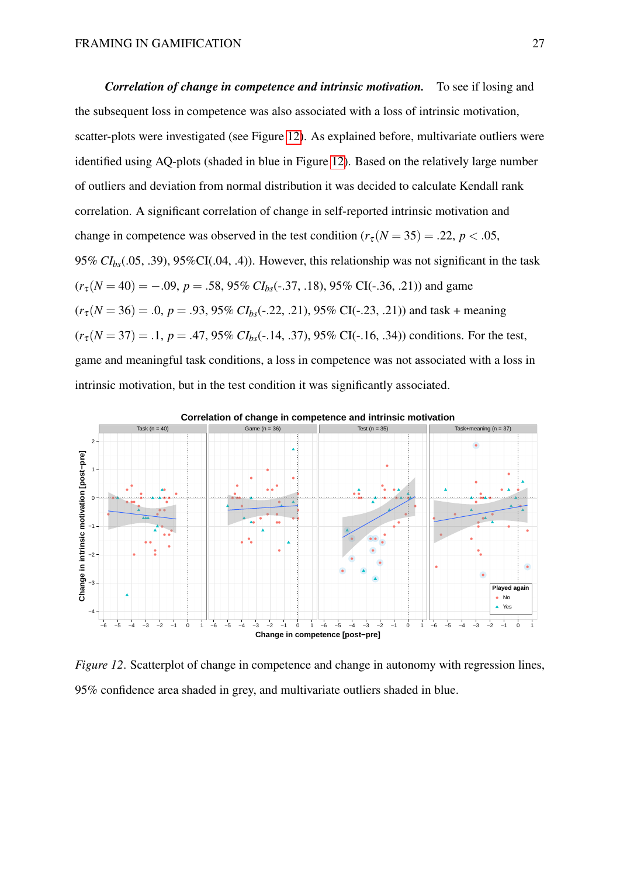*Correlation of change in competence and intrinsic motivation.* To see if losing and the subsequent loss in competence was also associated with a loss of intrinsic motivation, scatter-plots were investigated (see Figure [12\)](#page-26-0). As explained before, multivariate outliers were identified using AQ-plots (shaded in blue in Figure [12\)](#page-26-0). Based on the relatively large number of outliers and deviation from normal distribution it was decided to calculate Kendall rank correlation. A significant correlation of change in self-reported intrinsic motivation and change in competence was observed in the test condition  $(r_{\tau} (N = 35) = .22, p < .05,$ 95% *CIbs*(.05, .39), 95%CI(.04, .4)). However, this relationship was not significant in the task  $(r_{\tau}$ ( $N = 40) = -.09$ ,  $p = .58$ , 95%  $CI_{bs}$ (-.37, .18), 95% CI(-.36, .21)) and game  $(r_{\tau}$ ( $N = 36) = .0$ ,  $p = .93$ , 95%  $CI<sub>bs</sub>(-.22, .21)$ , 95% CI(-.23, .21)) and task + meaning  $(r_{\tau}(N=37) = .1, p = .47, 95\% \ CI_{bs}(.14, .37), 95\% \ CI(.16, .34))$  conditions. For the test, game and meaningful task conditions, a loss in competence was not associated with a loss in intrinsic motivation, but in the test condition it was significantly associated.

<span id="page-26-0"></span>

*Figure 12.* Scatterplot of change in competence and change in autonomy with regression lines, 95% confidence area shaded in grey, and multivariate outliers shaded in blue.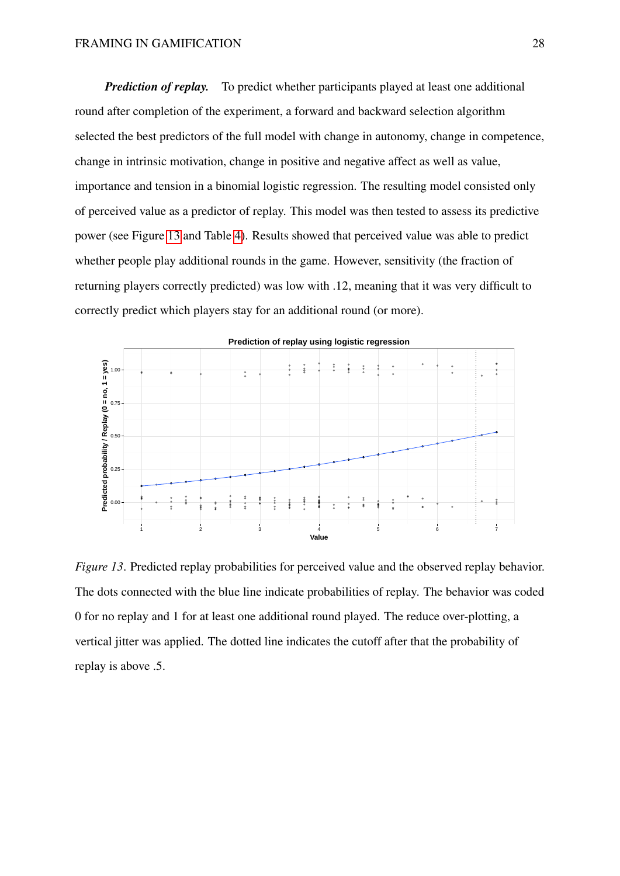*Prediction of replay.* To predict whether participants played at least one additional round after completion of the experiment, a forward and backward selection algorithm selected the best predictors of the full model with change in autonomy, change in competence, change in intrinsic motivation, change in positive and negative affect as well as value, importance and tension in a binomial logistic regression. The resulting model consisted only of perceived value as a predictor of replay. This model was then tested to assess its predictive power (see Figure [13](#page-27-0) and Table [4\)](#page-28-0). Results showed that perceived value was able to predict whether people play additional rounds in the game. However, sensitivity (the fraction of returning players correctly predicted) was low with .12, meaning that it was very difficult to correctly predict which players stay for an additional round (or more).

<span id="page-27-0"></span>

*Figure 13.* Predicted replay probabilities for perceived value and the observed replay behavior. The dots connected with the blue line indicate probabilities of replay. The behavior was coded 0 for no replay and 1 for at least one additional round played. The reduce over-plotting, a vertical jitter was applied. The dotted line indicates the cutoff after that the probability of replay is above .5.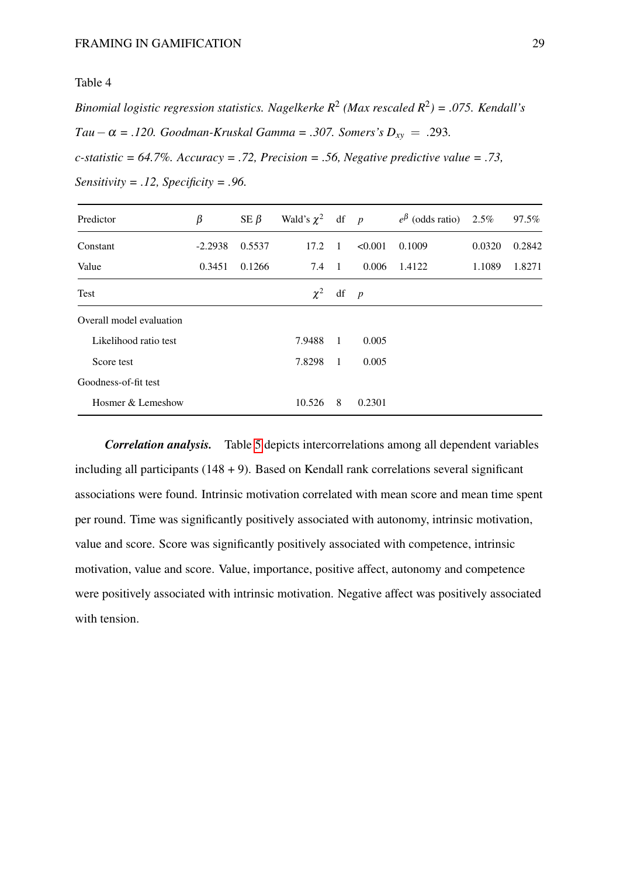<span id="page-28-0"></span>*Binomial logistic regression statistics. Nagelkerke R*<sup>2</sup> *(Max rescaled R*<sup>2</sup> *) = .075. Kendall's Tau*−α = .120. Goodman-Kruskal Gamma = .307. Somers's  $D_{xy}$  = .293. *c-statistic = 64.7%. Accuracy = .72, Precision = .56, Negative predictive value = .73,*

| Predictor                | $\beta$   | SE $\beta$ | Wald's $\chi^2$ df p |                |                | $e^{\beta}$ (odds ratio) 2.5% |        | 97.5%  |
|--------------------------|-----------|------------|----------------------|----------------|----------------|-------------------------------|--------|--------|
| Constant                 | $-2.2938$ | 0.5537     | 17.2                 | $\overline{1}$ | < 0.001        | 0.1009                        | 0.0320 | 0.2842 |
| Value                    | 0.3451    | 0.1266     | 7.4                  | $\blacksquare$ | 0.006          | 1.4122                        | 1.1089 | 1.8271 |
| Test                     |           |            | $\chi^2$             | df             | $\overline{p}$ |                               |        |        |
| Overall model evaluation |           |            |                      |                |                |                               |        |        |
| Likelihood ratio test    |           |            | 7.9488               | $\overline{1}$ | 0.005          |                               |        |        |
| Score test               |           |            | 7.8298               | - 1            | 0.005          |                               |        |        |
| Goodness-of-fit test     |           |            |                      |                |                |                               |        |        |
| Hosmer & Lemeshow        |           |            | 10.526               | 8              | 0.2301         |                               |        |        |

*Sensitivity = .12, Specificity = .96.*

*Correlation analysis.* Table [5](#page-29-0) depicts intercorrelations among all dependent variables including all participants  $(148 + 9)$ . Based on Kendall rank correlations several significant associations were found. Intrinsic motivation correlated with mean score and mean time spent per round. Time was significantly positively associated with autonomy, intrinsic motivation, value and score. Score was significantly positively associated with competence, intrinsic motivation, value and score. Value, importance, positive affect, autonomy and competence were positively associated with intrinsic motivation. Negative affect was positively associated with tension.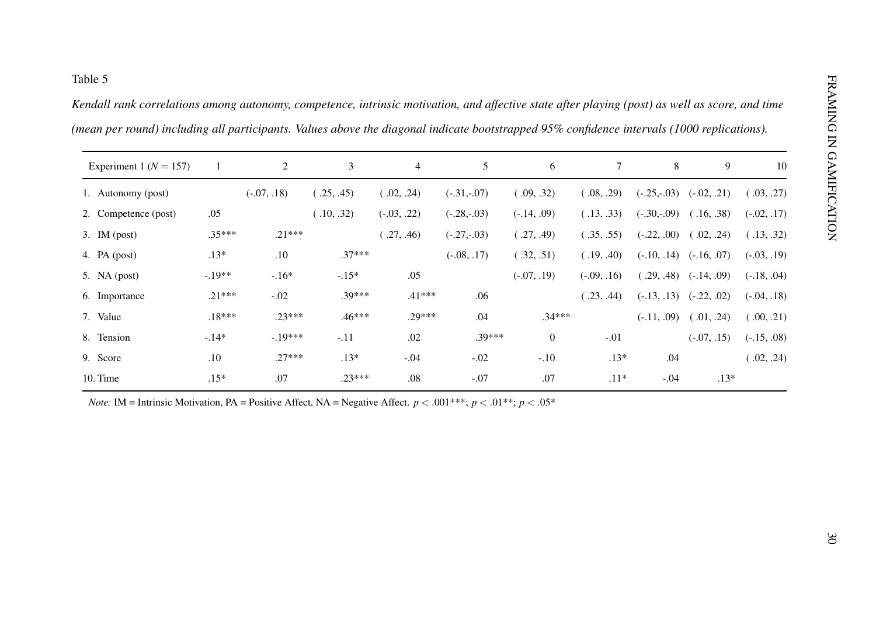<span id="page-29-0"></span>

| Experiment 1 ( $N = 157$ ) | 1        | $\overline{2}$ | 3          | $\overline{4}$ | 5             | 6                | $\tau$        | 8                          | 9                           | 10            |
|----------------------------|----------|----------------|------------|----------------|---------------|------------------|---------------|----------------------------|-----------------------------|---------------|
| 1. Autonomy (post)         |          | $(-.07, .18)$  | (.25, .45) | (.02, .24)     | $(-.31,-.07)$ | (.09, .32)       | (.08, .29)    | $(-.25,-.03)$ $(-.02,.21)$ |                             | (.03, .27)    |
| 2. Competence (post)       | .05      |                | (.10, .32) | $(-.03, .22)$  | $(-.28,-.03)$ | $(-.14, .09)$    | (.13, .33)    | $(-.30,-.09)$              | (.16, .38)                  | $(-.02, .17)$ |
| 3. IM $(post)$             | $.35***$ | $.21***$       |            | (.27, .46)     | $(-.27,-.03)$ | (.27, .49)       | (.35, .55)    | $(-.22, .00)$              | (.02, .24)                  | (.13, .32)    |
| 4. PA $(post)$             | $.13*$   | .10            | $.37***$   |                | $(-.08, .17)$ | (.32, .51)       | (.19, .40)    |                            | $(-.10, .14)$ $(-.16, .07)$ | $(-.03, .19)$ |
| 5. NA $(post)$             | $-.19**$ | $-.16*$        | $-.15*$    | .05            |               | $(-.07, .19)$    | $(-.09, .16)$ |                            | $(.29, .48)$ $(-.14, .09)$  | $(-.18, .04)$ |
| 6. Importance              | $.21***$ | $-.02$         | $.39***$   | $.41***$       | .06           |                  | (.23, .44)    |                            | $(-.13, .13)$ $(-.22, .02)$ | $(-.04, .18)$ |
| 7. Value                   | $.18***$ | $.23***$       | $.46***$   | $.29***$       | .04           | $.34***$         |               |                            | $(-.11, .09)$ $(.01, .24)$  | (.00, .21)    |
| 8. Tension                 | $-.14*$  | $-.19***$      | $-.11$     | .02            | .39***        | $\boldsymbol{0}$ | $-.01$        |                            | $(-.07, .15)$               | $(-.15, .08)$ |
| 9. Score                   | .10      | $.27***$       | $.13*$     | $-.04$         | $-.02$        | $-.10$           | $.13*$        | .04                        |                             | (.02, .24)    |
| 10. Time                   | $.15*$   | .07            | $.23***$   | $.08\,$        | $-.07$        | $.07\,$          | $.11*$        | $-.04$                     | $.13*$                      |               |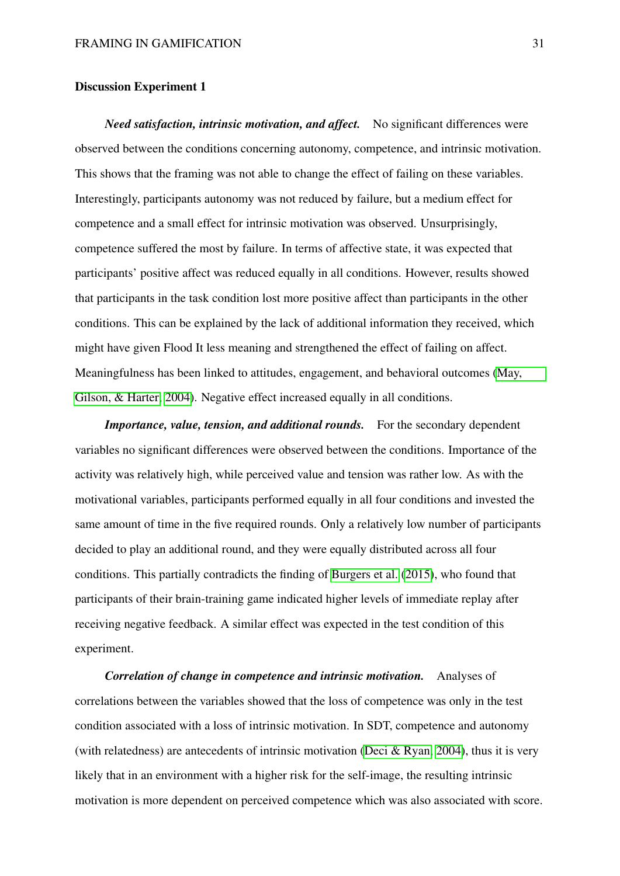#### Discussion Experiment 1

*Need satisfaction, intrinsic motivation, and affect.* No significant differences were observed between the conditions concerning autonomy, competence, and intrinsic motivation. This shows that the framing was not able to change the effect of failing on these variables. Interestingly, participants autonomy was not reduced by failure, but a medium effect for competence and a small effect for intrinsic motivation was observed. Unsurprisingly, competence suffered the most by failure. In terms of affective state, it was expected that participants' positive affect was reduced equally in all conditions. However, results showed that participants in the task condition lost more positive affect than participants in the other conditions. This can be explained by the lack of additional information they received, which might have given Flood It less meaning and strengthened the effect of failing on affect. Meaningfulness has been linked to attitudes, engagement, and behavioral outcomes [\(May,](#page-58-6) [Gilson, & Harter, 2004\)](#page-58-6). Negative effect increased equally in all conditions.

*Importance, value, tension, and additional rounds.* For the secondary dependent variables no significant differences were observed between the conditions. Importance of the activity was relatively high, while perceived value and tension was rather low. As with the motivational variables, participants performed equally in all four conditions and invested the same amount of time in the five required rounds. Only a relatively low number of participants decided to play an additional round, and they were equally distributed across all four conditions. This partially contradicts the finding of [Burgers et al.](#page-56-5) [\(2015\)](#page-56-5), who found that participants of their brain-training game indicated higher levels of immediate replay after receiving negative feedback. A similar effect was expected in the test condition of this experiment.

*Correlation of change in competence and intrinsic motivation.* Analyses of correlations between the variables showed that the loss of competence was only in the test condition associated with a loss of intrinsic motivation. In SDT, competence and autonomy (with relatedness) are antecedents of intrinsic motivation [\(Deci & Ryan, 2004\)](#page-57-3), thus it is very likely that in an environment with a higher risk for the self-image, the resulting intrinsic motivation is more dependent on perceived competence which was also associated with score.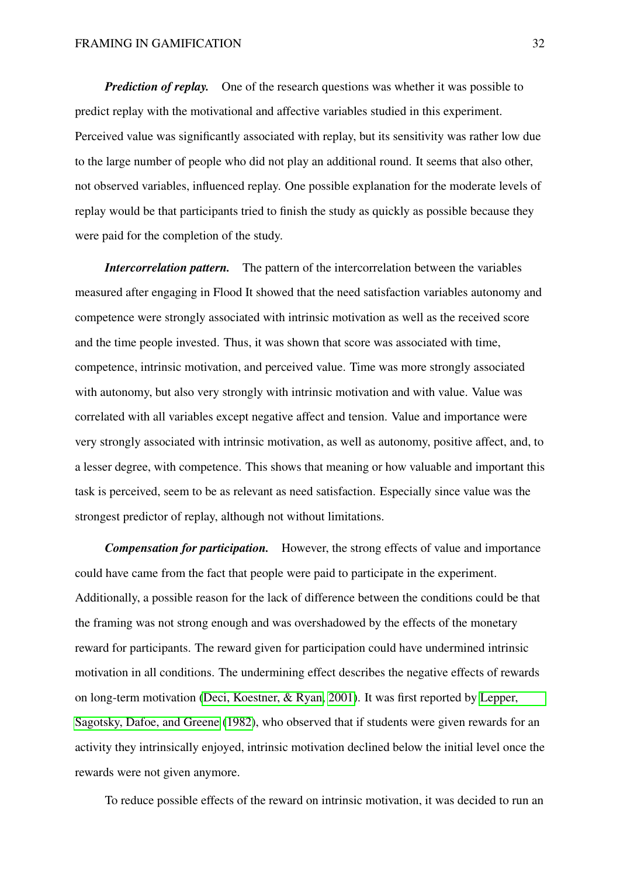*Prediction of replay.* One of the research questions was whether it was possible to predict replay with the motivational and affective variables studied in this experiment. Perceived value was significantly associated with replay, but its sensitivity was rather low due to the large number of people who did not play an additional round. It seems that also other, not observed variables, influenced replay. One possible explanation for the moderate levels of replay would be that participants tried to finish the study as quickly as possible because they were paid for the completion of the study.

*Intercorrelation pattern.* The pattern of the intercorrelation between the variables measured after engaging in Flood It showed that the need satisfaction variables autonomy and competence were strongly associated with intrinsic motivation as well as the received score and the time people invested. Thus, it was shown that score was associated with time, competence, intrinsic motivation, and perceived value. Time was more strongly associated with autonomy, but also very strongly with intrinsic motivation and with value. Value was correlated with all variables except negative affect and tension. Value and importance were very strongly associated with intrinsic motivation, as well as autonomy, positive affect, and, to a lesser degree, with competence. This shows that meaning or how valuable and important this task is perceived, seem to be as relevant as need satisfaction. Especially since value was the strongest predictor of replay, although not without limitations.

*Compensation for participation.* However, the strong effects of value and importance could have came from the fact that people were paid to participate in the experiment. Additionally, a possible reason for the lack of difference between the conditions could be that the framing was not strong enough and was overshadowed by the effects of the monetary reward for participants. The reward given for participation could have undermined intrinsic motivation in all conditions. The undermining effect describes the negative effects of rewards on long-term motivation [\(Deci, Koestner, & Ryan, 2001\)](#page-57-8). It was first reported by [Lepper,](#page-58-7) [Sagotsky, Dafoe, and Greene](#page-58-7) [\(1982\)](#page-58-7), who observed that if students were given rewards for an activity they intrinsically enjoyed, intrinsic motivation declined below the initial level once the rewards were not given anymore.

To reduce possible effects of the reward on intrinsic motivation, it was decided to run an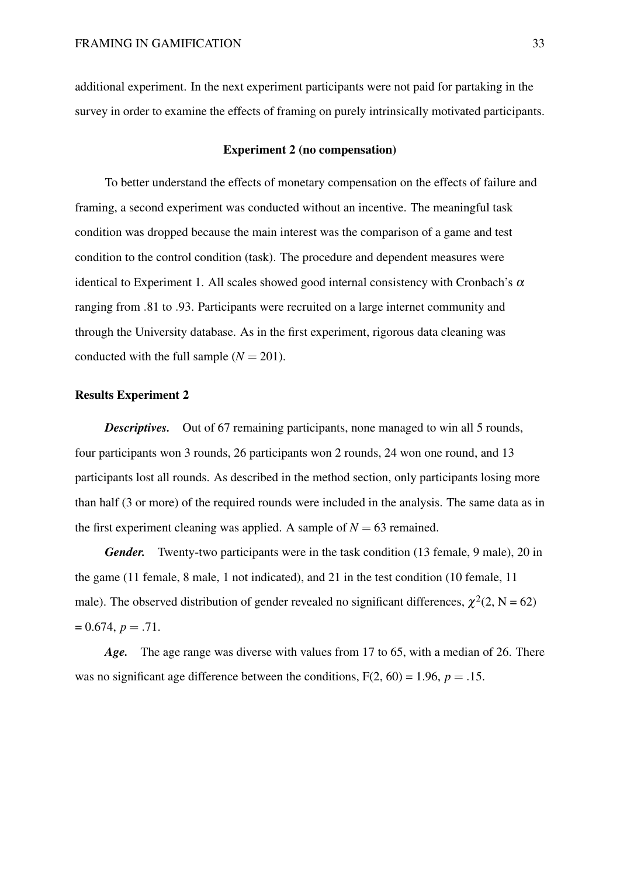additional experiment. In the next experiment participants were not paid for partaking in the survey in order to examine the effects of framing on purely intrinsically motivated participants.

#### Experiment 2 (no compensation)

To better understand the effects of monetary compensation on the effects of failure and framing, a second experiment was conducted without an incentive. The meaningful task condition was dropped because the main interest was the comparison of a game and test condition to the control condition (task). The procedure and dependent measures were identical to Experiment 1. All scales showed good internal consistency with Cronbach's  $\alpha$ ranging from .81 to .93. Participants were recruited on a large internet community and through the University database. As in the first experiment, rigorous data cleaning was conducted with the full sample  $(N = 201)$ .

#### Results Experiment 2

*Descriptives.* Out of 67 remaining participants, none managed to win all 5 rounds, four participants won 3 rounds, 26 participants won 2 rounds, 24 won one round, and 13 participants lost all rounds. As described in the method section, only participants losing more than half (3 or more) of the required rounds were included in the analysis. The same data as in the first experiment cleaning was applied. A sample of  $N = 63$  remained.

*Gender.* Twenty-two participants were in the task condition (13 female, 9 male), 20 in the game (11 female, 8 male, 1 not indicated), and 21 in the test condition (10 female, 11 male). The observed distribution of gender revealed no significant differences,  $\chi^2(2, N = 62)$  $= 0.674, p = .71.$ 

*Age.* The age range was diverse with values from 17 to 65, with a median of 26. There was no significant age difference between the conditions,  $F(2, 60) = 1.96$ ,  $p = .15$ .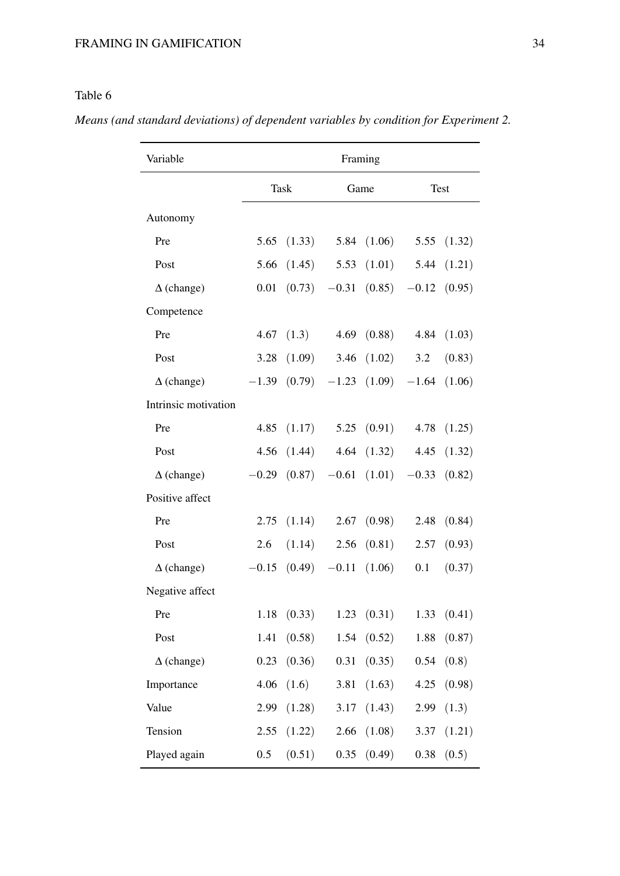# <span id="page-33-0"></span>Table 6

*Means (and standard deviations) of dependent variables by condition for Experiment 2.*

| Variable             | Framing |        |         |                  |                          |               |  |  |  |
|----------------------|---------|--------|---------|------------------|--------------------------|---------------|--|--|--|
|                      |         | Task   |         | Game             |                          | Test          |  |  |  |
| Autonomy             |         |        |         |                  |                          |               |  |  |  |
| Pre                  | 5.65    | (1.33) |         | 5.84 $(1.06)$    |                          | 5.55 $(1.32)$ |  |  |  |
| Post                 | 5.66    | (1.45) | 5.53    | (1.01)           | 5.44                     | (1.21)        |  |  |  |
| $\Delta$ (change)    | 0.01    | (0.73) | $-0.31$ |                  | $(0.85)$ -0.12           | (0.95)        |  |  |  |
| Competence           |         |        |         |                  |                          |               |  |  |  |
| Pre                  | 4.67    | (1.3)  | 4.69    | (0.88)           | 4.84                     | (1.03)        |  |  |  |
| Post                 | 3.28    | (1.09) | 3.46    | (1.02)           | 3.2                      | (0.83)        |  |  |  |
| $\Delta$ (change)    | $-1.39$ | (0.79) |         |                  | $-1.23$ $(1.09)$ $-1.64$ | (1.06)        |  |  |  |
| Intrinsic motivation |         |        |         |                  |                          |               |  |  |  |
| Pre                  | 4.85    | (1.17) |         | 5.25(0.91)       | 4.78                     | (1.25)        |  |  |  |
| Post                 | 4.56    | (1.44) |         | 4.64 $(1.32)$    | 4.45                     | (1.32)        |  |  |  |
| $\Delta$ (change)    | $-0.29$ | (0.87) |         | $-0.61$ $(1.01)$ | $-0.33$                  | (0.82)        |  |  |  |
| Positive affect      |         |        |         |                  |                          |               |  |  |  |
| Pre                  | 2.75    | (1.14) | 2.67    | (0.98)           | 2.48                     | (0.84)        |  |  |  |
| Post                 | 2.6     | (1.14) | 2.56    | (0.81)           | 2.57                     | (0.93)        |  |  |  |
| $\Delta$ (change)    | $-0.15$ | (0.49) | $-0.11$ | (1.06)           | 0.1                      | (0.37)        |  |  |  |
| Negative affect      |         |        |         |                  |                          |               |  |  |  |
| Pre                  | 1.18    | (0.33) | 1.23    | (0.31)           | 1.33                     | (0.41)        |  |  |  |
| Post                 | 1.41    | (0.58) | 1.54    | (0.52)           | 1.88                     | (0.87)        |  |  |  |
| $\Delta$ (change)    | 0.23    | (0.36) | 0.31    | (0.35)           | 0.54                     | (0.8)         |  |  |  |
| Importance           | 4.06    | (1.6)  | 3.81    | (1.63)           | 4.25                     | (0.98)        |  |  |  |
| Value                | 2.99    | (1.28) | 3.17    | (1.43)           | 2.99                     | (1.3)         |  |  |  |
| Tension              | 2.55    | (1.22) | 2.66    | (1.08)           | 3.37                     | (1.21)        |  |  |  |
| Played again         | 0.5     | (0.51) | 0.35    | (0.49)           | 0.38                     | (0.5)         |  |  |  |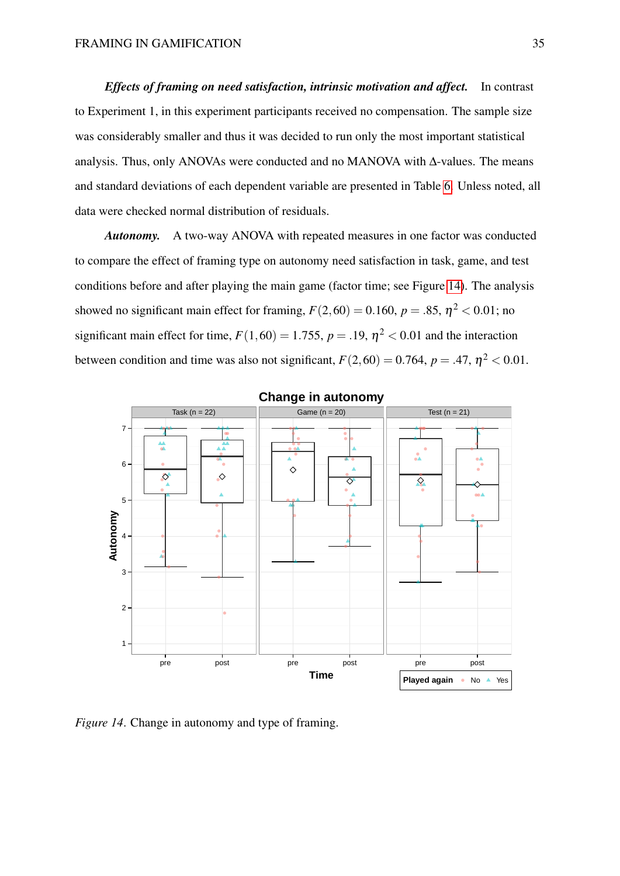*Effects of framing on need satisfaction, intrinsic motivation and affect.* In contrast to Experiment 1, in this experiment participants received no compensation. The sample size was considerably smaller and thus it was decided to run only the most important statistical analysis. Thus, only ANOVAs were conducted and no MANOVA with ∆-values. The means and standard deviations of each dependent variable are presented in Table [6.](#page-33-0) Unless noted, all data were checked normal distribution of residuals.

*Autonomy.* A two-way ANOVA with repeated measures in one factor was conducted to compare the effect of framing type on autonomy need satisfaction in task, game, and test conditions before and after playing the main game (factor time; see Figure [14\)](#page-34-0). The analysis showed no significant main effect for framing,  $F(2,60) = 0.160$ ,  $p = .85$ ,  $\eta^2 < 0.01$ ; no significant main effect for time,  $F(1,60) = 1.755$ ,  $p = .19$ ,  $\eta^2 < 0.01$  and the interaction between condition and time was also not significant,  $F(2,60) = 0.764$ ,  $p = .47$ ,  $\eta^2 < 0.01$ .

<span id="page-34-0"></span>

**Change in autonomy**

*Figure 14.* Change in autonomy and type of framing.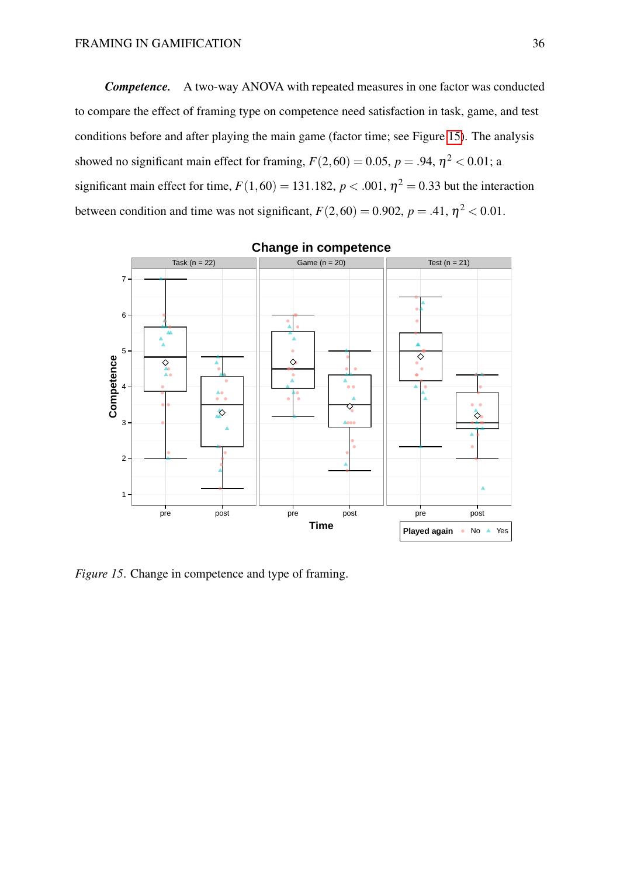*Competence.* A two-way ANOVA with repeated measures in one factor was conducted to compare the effect of framing type on competence need satisfaction in task, game, and test conditions before and after playing the main game (factor time; see Figure [15\)](#page-35-0). The analysis showed no significant main effect for framing,  $F(2,60) = 0.05$ ,  $p = .94$ ,  $\eta^2 < 0.01$ ; a significant main effect for time,  $F(1,60) = 131.182$ ,  $p < .001$ ,  $\eta^2 = 0.33$  but the interaction between condition and time was not significant,  $F(2,60) = 0.902$ ,  $p = .41$ ,  $\eta^2 < 0.01$ .

<span id="page-35-0"></span>

### **Change in competence**

*Figure 15*. Change in competence and type of framing.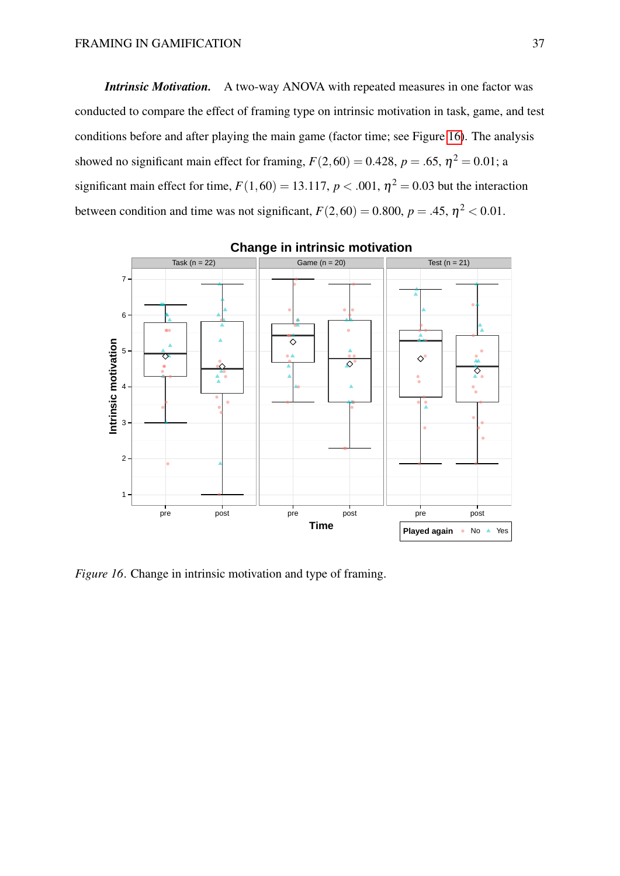*Intrinsic Motivation.* A two-way ANOVA with repeated measures in one factor was conducted to compare the effect of framing type on intrinsic motivation in task, game, and test conditions before and after playing the main game (factor time; see Figure [16\)](#page-36-0). The analysis showed no significant main effect for framing,  $F(2,60) = 0.428$ ,  $p = .65$ ,  $\eta^2 = 0.01$ ; a significant main effect for time,  $F(1,60) = 13.117$ ,  $p < .001$ ,  $\eta^2 = 0.03$  but the interaction between condition and time was not significant,  $F(2,60) = 0.800$ ,  $p = .45$ ,  $\eta^2 < 0.01$ .

<span id="page-36-0"></span>

**Change in intrinsic motivation**

*Figure 16*. Change in intrinsic motivation and type of framing.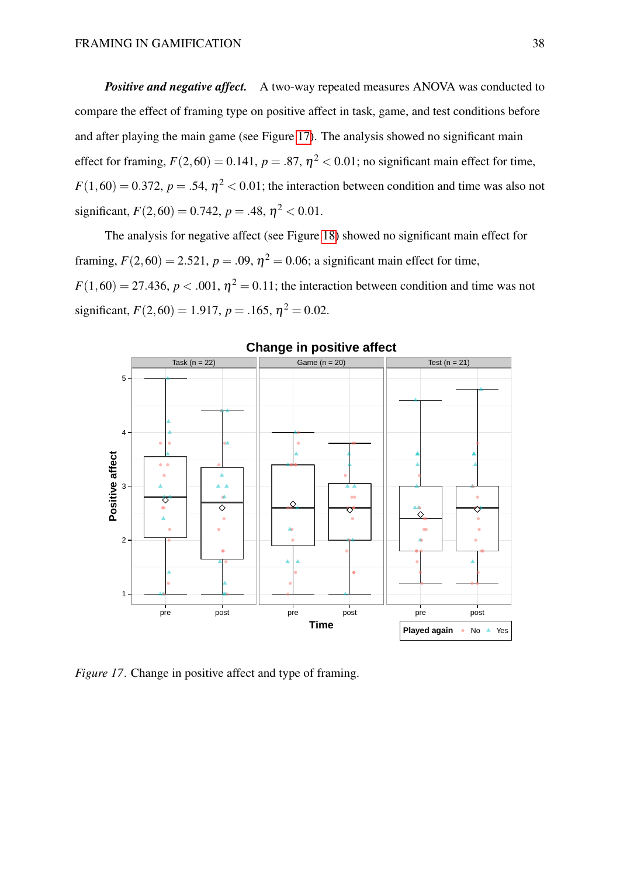*Positive and negative affect.* A two-way repeated measures ANOVA was conducted to compare the effect of framing type on positive affect in task, game, and test conditions before and after playing the main game (see Figure [17\)](#page-37-0). The analysis showed no significant main effect for framing,  $F(2,60) = 0.141$ ,  $p = .87$ ,  $\eta^2 < 0.01$ ; no significant main effect for time,  $F(1,60) = 0.372$ ,  $p = .54$ ,  $\eta^2 < 0.01$ ; the interaction between condition and time was also not significant,  $F(2,60) = 0.742$ ,  $p = .48$ ,  $\eta^2 < 0.01$ .

The analysis for negative affect (see Figure [18\)](#page-38-0) showed no significant main effect for framing,  $F(2,60) = 2.521$ ,  $p = .09$ ,  $\eta^2 = 0.06$ ; a significant main effect for time,  $F(1,60) = 27.436$ ,  $p < .001$ ,  $\eta^2 = 0.11$ ; the interaction between condition and time was not significant,  $F(2,60) = 1.917$ ,  $p = .165$ ,  $\eta^2 = 0.02$ .

<span id="page-37-0"></span>

#### **Change in positive affect**

*Figure 17.* Change in positive affect and type of framing.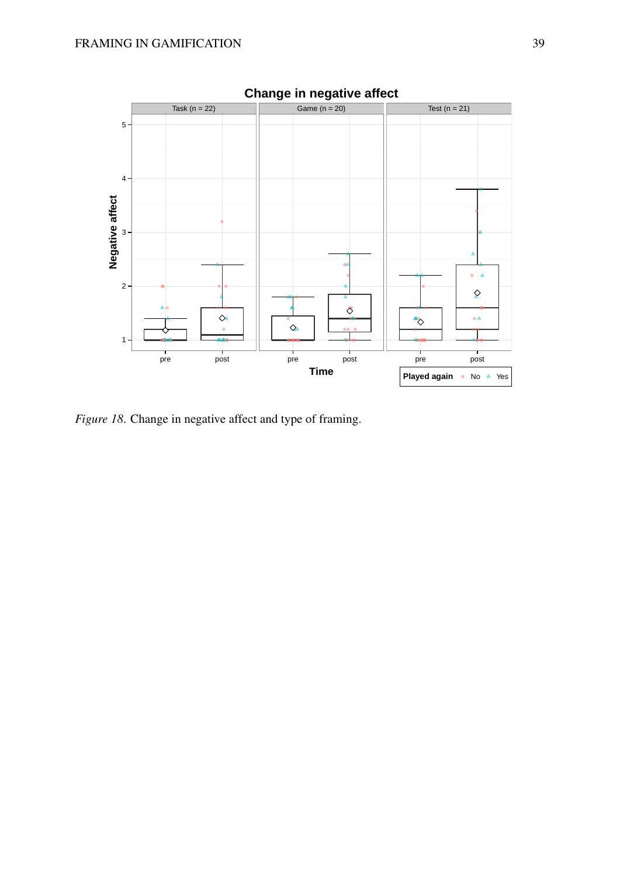<span id="page-38-0"></span>

*Figure 18*. Change in negative affect and type of framing.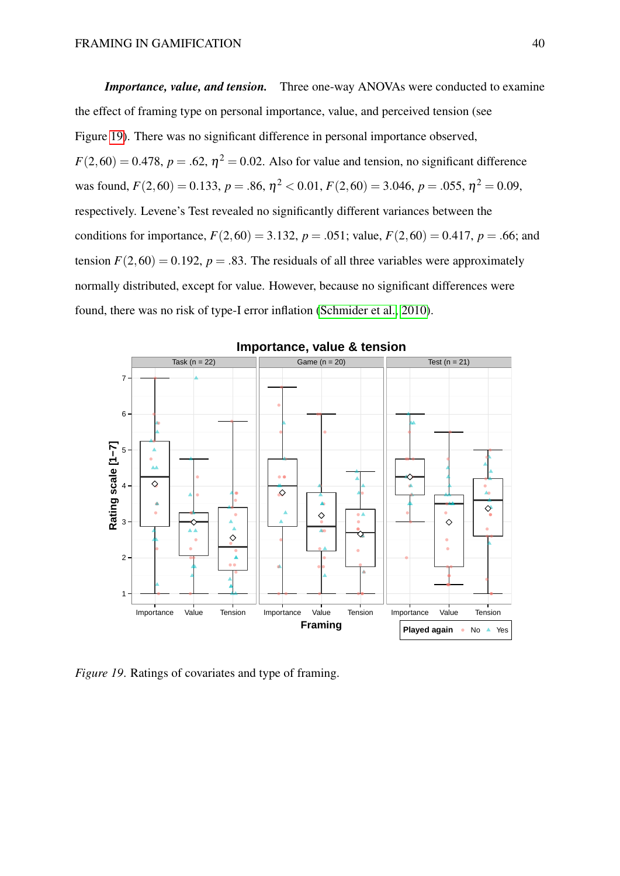*Importance, value, and tension.* Three one-way ANOVAs were conducted to examine the effect of framing type on personal importance, value, and perceived tension (see Figure [19\)](#page-39-0). There was no significant difference in personal importance observed,  $F(2,60) = 0.478$ ,  $p = .62$ ,  $\eta^2 = 0.02$ . Also for value and tension, no significant difference was found,  $F(2,60) = 0.133$ ,  $p = .86$ ,  $\eta^2 < 0.01$ ,  $F(2,60) = 3.046$ ,  $p = .055$ ,  $\eta^2 = 0.09$ , respectively. Levene's Test revealed no significantly different variances between the conditions for importance,  $F(2,60) = 3.132$ ,  $p = .051$ ; value,  $F(2,60) = 0.417$ ,  $p = .66$ ; and tension  $F(2,60) = 0.192$ ,  $p = .83$ . The residuals of all three variables were approximately normally distributed, except for value. However, because no significant differences were found, there was no risk of type-I error inflation [\(Schmider et al., 2010\)](#page-60-9).

<span id="page-39-0"></span>

**Importance, value & tension**

*Figure 19*. Ratings of covariates and type of framing.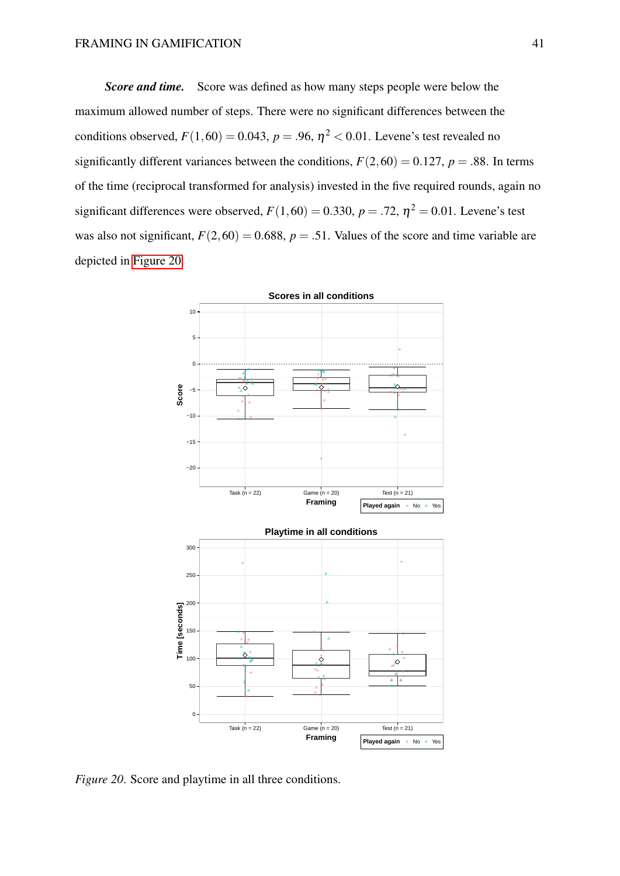*Score and time.* Score was defined as how many steps people were below the maximum allowed number of steps. There were no significant differences between the conditions observed,  $F(1,60) = 0.043$ ,  $p = .96$ ,  $\eta^2 < 0.01$ . Levene's test revealed no significantly different variances between the conditions,  $F(2,60) = 0.127$ ,  $p = .88$ . In terms of the time (reciprocal transformed for analysis) invested in the five required rounds, again no significant differences were observed,  $F(1,60) = 0.330$ ,  $p = .72$ ,  $\eta^2 = 0.01$ . Levene's test was also not significant,  $F(2,60) = 0.688$ ,  $p = .51$ . Values of the score and time variable are depicted in [Figure 20.](#page-40-0)

<span id="page-40-0"></span>

*Figure 20.* Score and playtime in all three conditions.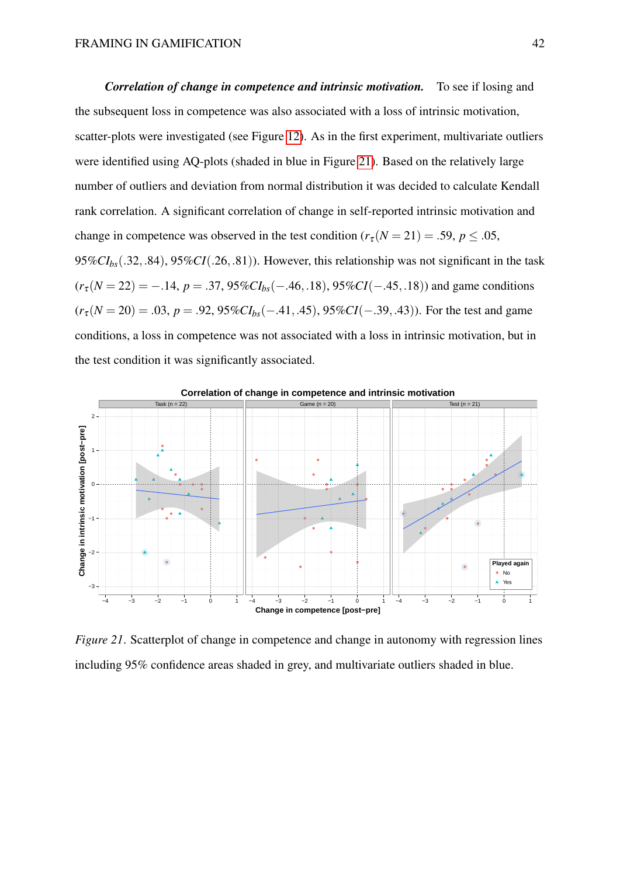*Correlation of change in competence and intrinsic motivation.* To see if losing and the subsequent loss in competence was also associated with a loss of intrinsic motivation, scatter-plots were investigated (see Figure [12\)](#page-26-0). As in the first experiment, multivariate outliers were identified using AQ-plots (shaded in blue in Figure [21\)](#page-41-0). Based on the relatively large number of outliers and deviation from normal distribution it was decided to calculate Kendall rank correlation. A significant correlation of change in self-reported intrinsic motivation and change in competence was observed in the test condition ( $r_\tau (N = 21) = .59$ ,  $p \le .05$ , 95%*CIbs*(.32,.84), 95%*CI*(.26,.81)). However, this relationship was not significant in the task  $(r_{\tau}(N=22) = -.14, p = .37, 95\%CI_{bs}(-.46, .18), 95\%CI(-.45, .18))$  and game conditions  $(r_{\tau}(N=20) = .03, p = .92, 95\%CI_{bs}(-.41, .45), 95\%CI(-.39, .43)$ . For the test and game conditions, a loss in competence was not associated with a loss in intrinsic motivation, but in the test condition it was significantly associated.

<span id="page-41-0"></span>

*Figure 21.* Scatterplot of change in competence and change in autonomy with regression lines including 95% confidence areas shaded in grey, and multivariate outliers shaded in blue.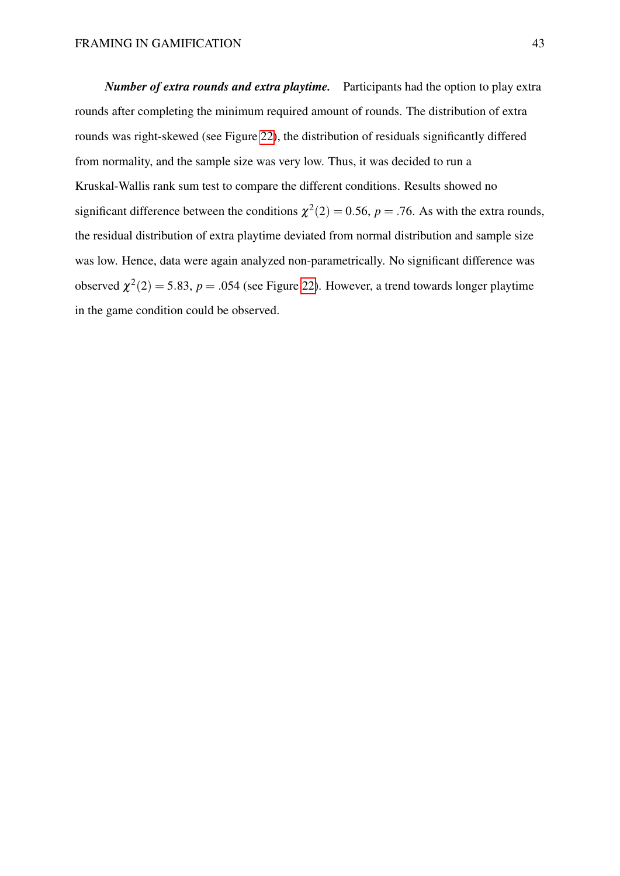*Number of extra rounds and extra playtime.* Participants had the option to play extra rounds after completing the minimum required amount of rounds. The distribution of extra rounds was right-skewed (see Figure [22\)](#page-43-0), the distribution of residuals significantly differed from normality, and the sample size was very low. Thus, it was decided to run a Kruskal-Wallis rank sum test to compare the different conditions. Results showed no significant difference between the conditions  $\chi^2(2) = 0.56$ ,  $p = .76$ . As with the extra rounds, the residual distribution of extra playtime deviated from normal distribution and sample size was low. Hence, data were again analyzed non-parametrically. No significant difference was observed  $\chi^2(2) = 5.83$ ,  $p = .054$  (see Figure [22\)](#page-43-0). However, a trend towards longer playtime in the game condition could be observed.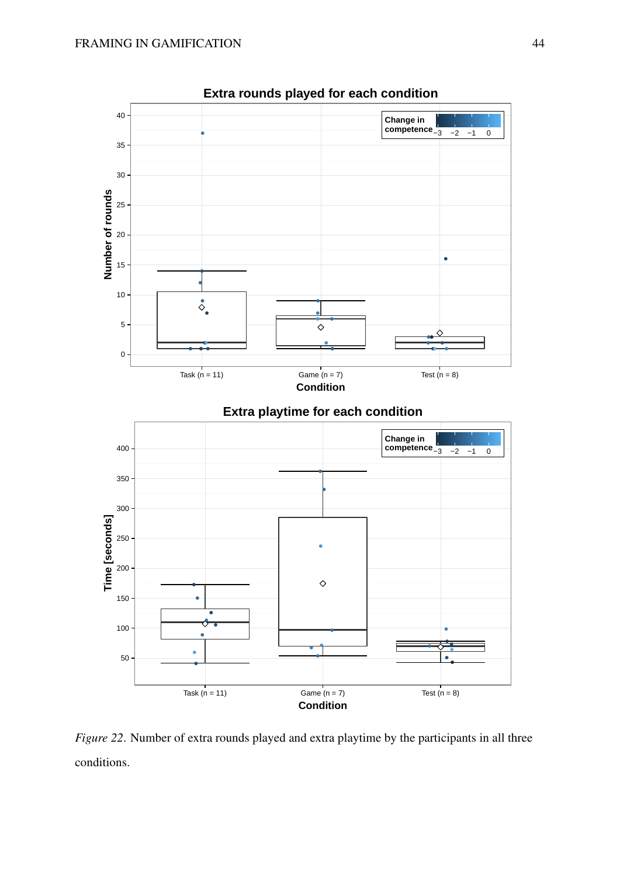<span id="page-43-0"></span>

*Figure 22.* Number of extra rounds played and extra playtime by the participants in all three conditions.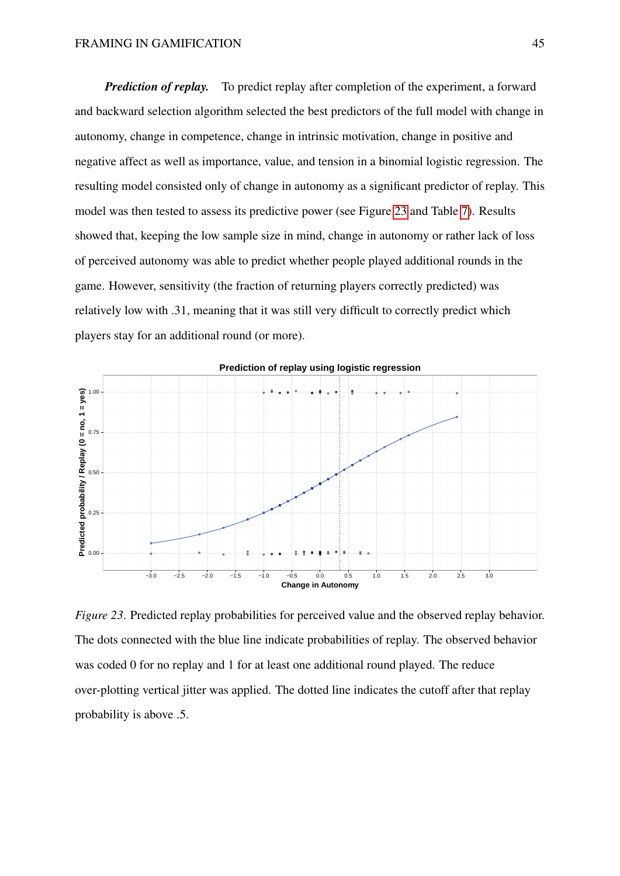*Prediction of replay.* To predict replay after completion of the experiment, a forward and backward selection algorithm selected the best predictors of the full model with change in autonomy, change in competence, change in intrinsic motivation, change in positive and negative affect as well as importance, value, and tension in a binomial logistic regression. The resulting model consisted only of change in autonomy as a significant predictor of replay. This model was then tested to assess its predictive power (see Figure [23](#page-44-0) and Table [7\)](#page-45-0). Results showed that, keeping the low sample size in mind, change in autonomy or rather lack of loss of perceived autonomy was able to predict whether people played additional rounds in the game. However, sensitivity (the fraction of returning players correctly predicted) was relatively low with .31, meaning that it was still very difficult to correctly predict which players stay for an additional round (or more).

<span id="page-44-0"></span>

*Figure 23*. Predicted replay probabilities for perceived value and the observed replay behavior. The dots connected with the blue line indicate probabilities of replay. The observed behavior was coded 0 for no replay and 1 for at least one additional round played. The reduce over-plotting vertical jitter was applied. The dotted line indicates the cutoff after that replay probability is above .5.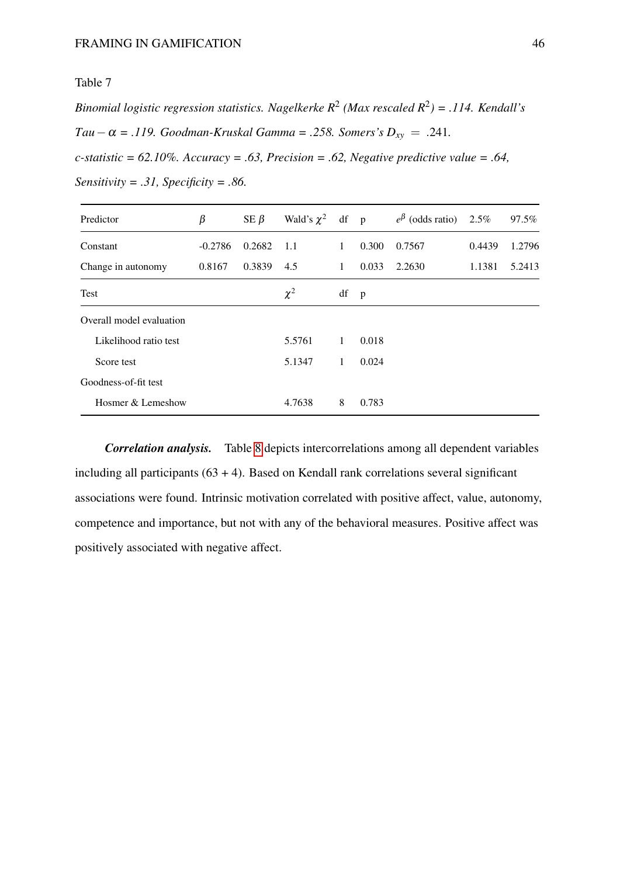<span id="page-45-0"></span>*Binomial logistic regression statistics. Nagelkerke R*<sup>2</sup> *(Max rescaled R*<sup>2</sup> *) = .114. Kendall's Tau*−α = .119. Goodman-Kruskal Gamma = .258. Somers's  $D_{xy}$  = .241. *c-statistic = 62.10%. Accuracy = .63, Precision = .62, Negative predictive value = .64,*

| Predictor                | β         | SE $\beta$ | Wald's $\chi^2$ df p |              |              | $e^{\beta}$ (odds ratio) | 2.5%   | 97.5%  |
|--------------------------|-----------|------------|----------------------|--------------|--------------|--------------------------|--------|--------|
| Constant                 | $-0.2786$ | 0.2682     | 1.1                  | 1            | 0.300        | 0.7567                   | 0.4439 | 1.2796 |
| Change in autonomy       | 0.8167    | 0.3839     | 4.5                  | $\mathbf{1}$ | 0.033        | 2.2630                   | 1.1381 | 5.2413 |
| Test                     |           |            | $\chi^2$             | df           | $\mathbf{p}$ |                          |        |        |
| Overall model evaluation |           |            |                      |              |              |                          |        |        |
| Likelihood ratio test    |           |            | 5.5761               | $\mathbf{1}$ | 0.018        |                          |        |        |
| Score test               |           |            | 5.1347               | $\mathbf{1}$ | 0.024        |                          |        |        |
| Goodness-of-fit test     |           |            |                      |              |              |                          |        |        |
| Hosmer & Lemeshow        |           |            | 4.7638               | 8            | 0.783        |                          |        |        |

*Sensitivity = .31, Specificity = .86.*

*Correlation analysis.* Table [8](#page-46-0) depicts intercorrelations among all dependent variables including all participants  $(63 + 4)$ . Based on Kendall rank correlations several significant associations were found. Intrinsic motivation correlated with positive affect, value, autonomy, competence and importance, but not with any of the behavioral measures. Positive affect was positively associated with negative affect.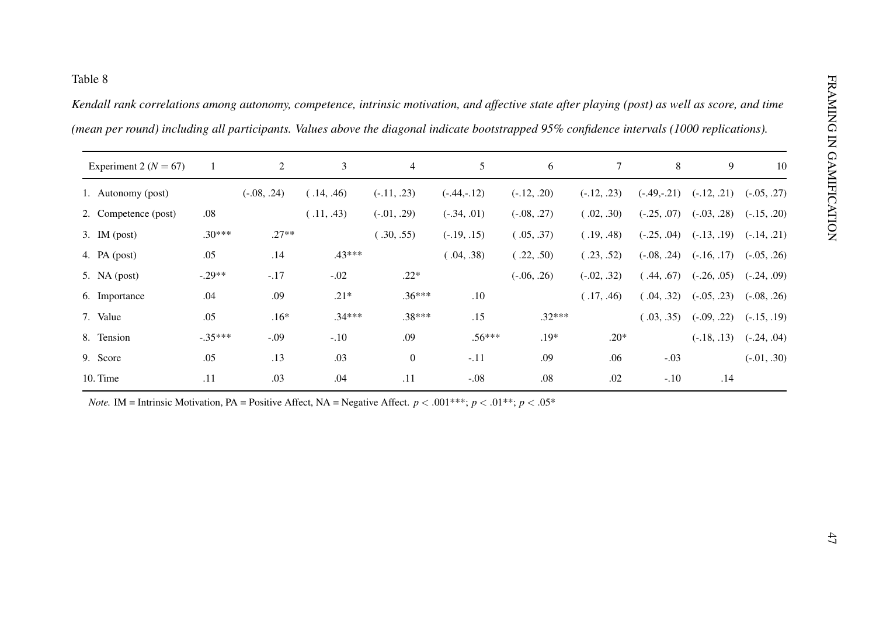<span id="page-46-0"></span>

| Experiment 2 ( $N = 67$ ) |           | $\overline{2}$ | $\mathfrak{Z}$ | $\overline{4}$   | 5             | 6             | $\tau$        | $\,8\,$       | 9             | 10            |
|---------------------------|-----------|----------------|----------------|------------------|---------------|---------------|---------------|---------------|---------------|---------------|
| 1. Autonomy (post)        |           | $(-.08, .24)$  | (.14, .46)     | $(-.11, .23)$    | $(-.44,-.12)$ | $(-.12, .20)$ | $(-.12, .23)$ | $(-.49,-.21)$ | $(-.12, .21)$ | $(-.05, .27)$ |
| 2. Competence (post)      | $.08\,$   |                | (.11, .43)     | $(-.01, .29)$    | $(-.34, .01)$ | $(-.08, .27)$ | (.02, .30)    | $(-.25, .07)$ | $(-.03, .28)$ | $(-.15, .20)$ |
| 3. IM $(post)$            | $.30***$  | $.27**$        |                | (.30, .55)       | $(-.19, .15)$ | (.05, .37)    | (.19, .48)    | $(-.25, .04)$ | $(-.13, .19)$ | $(-.14, .21)$ |
| 4. PA $(post)$            | .05       | .14            | .43***         |                  | (.04, .38)    | (.22, .50)    | (.23, .52)    | $(-.08, .24)$ | $(-.16, .17)$ | $(-.05, .26)$ |
| 5. NA $(post)$            | $-.29**$  | $-.17$         | $-.02$         | $.22*$           |               | $(-.06, .26)$ | $(-.02, .32)$ | (.44, .67)    | $(-.26, .05)$ | $(-.24, .09)$ |
| 6. Importance             | .04       | .09            | $.21*$         | $.36***$         | $.10\,$       |               | (.17, .46)    | (.04, .32)    | $(-.05, .23)$ | $(-.08, .26)$ |
| 7. Value                  | .05       | $.16*$         | $.34***$       | $.38***$         | .15           | $.32***$      |               | (.03, .35)    | $(-.09, .22)$ | $(-.15, .19)$ |
| 8. Tension                | $-.35***$ | $-.09$         | $-.10$         | .09              | $.56***$      | $.19*$        | $.20*$        |               | $(-.18, .13)$ | $(-.24, .04)$ |
| 9. Score                  | .05       | .13            | .03            | $\boldsymbol{0}$ | $-.11$        | .09           | .06           | $-.03$        |               | $(-.01, .30)$ |
| 10. Time                  | .11       | .03            | .04            | .11              | $-.08$        | .08           | .02           | $-.10$        | .14           |               |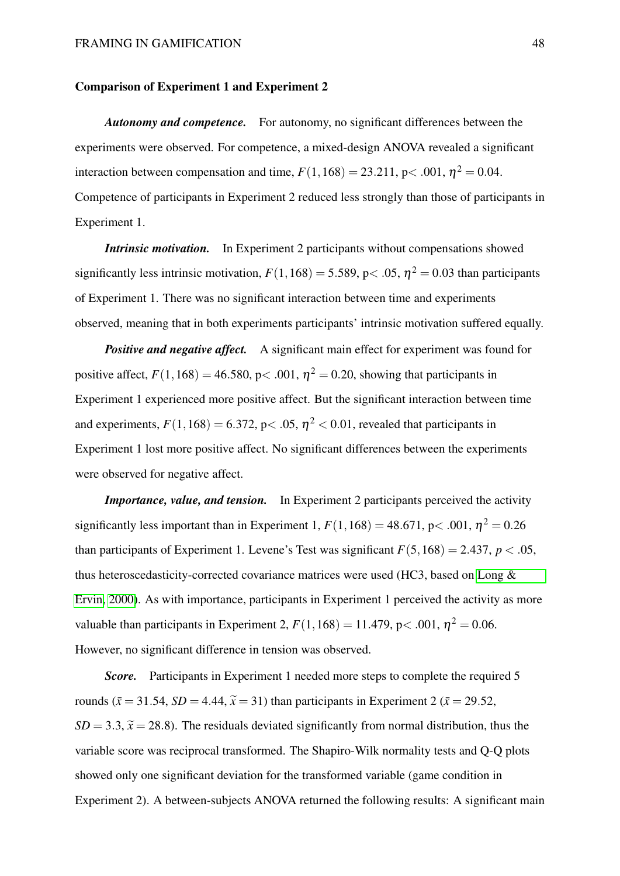#### Comparison of Experiment 1 and Experiment 2

*Autonomy and competence.* For autonomy, no significant differences between the experiments were observed. For competence, a mixed-design ANOVA revealed a significant interaction between compensation and time,  $F(1,168) = 23.211$ , p $< .001$ ,  $\eta^2 = 0.04$ . Competence of participants in Experiment 2 reduced less strongly than those of participants in Experiment 1.

*Intrinsic motivation.* In Experiment 2 participants without compensations showed significantly less intrinsic motivation,  $F(1,168) = 5.589$ , p $< .05$ ,  $\eta^2 = 0.03$  than participants of Experiment 1. There was no significant interaction between time and experiments observed, meaning that in both experiments participants' intrinsic motivation suffered equally.

*Positive and negative affect.* A significant main effect for experiment was found for positive affect,  $F(1, 168) = 46.580$ , p $< .001$ ,  $\eta^2 = 0.20$ , showing that participants in Experiment 1 experienced more positive affect. But the significant interaction between time and experiments,  $F(1,168) = 6.372$ , p< .05,  $\eta^2 < 0.01$ , revealed that participants in Experiment 1 lost more positive affect. No significant differences between the experiments were observed for negative affect.

*Importance, value, and tension.* In Experiment 2 participants perceived the activity significantly less important than in Experiment 1,  $F(1,168) = 48.671$ , p< .001,  $\eta^2 = 0.26$ than participants of Experiment 1. Levene's Test was significant  $F(5,168) = 2.437$ ,  $p < .05$ , thus heteroscedasticity-corrected covariance matrices were used (HC3, based on [Long &](#page-58-8) [Ervin, 2000\)](#page-58-8). As with importance, participants in Experiment 1 perceived the activity as more valuable than participants in Experiment 2,  $F(1,168) = 11.479$ , p $< .001$ ,  $\eta^2 = 0.06$ . However, no significant difference in tension was observed.

*Score.* Participants in Experiment 1 needed more steps to complete the required 5 rounds ( $\bar{x}$  = 31.54, *SD* = 4.44,  $\tilde{x}$  = 31) than participants in Experiment 2 ( $\bar{x}$  = 29.52,  $SD = 3.3$ ,  $\tilde{x} = 28.8$ ). The residuals deviated significantly from normal distribution, thus the variable score was reciprocal transformed. The Shapiro-Wilk normality tests and Q-Q plots showed only one significant deviation for the transformed variable (game condition in Experiment 2). A between-subjects ANOVA returned the following results: A significant main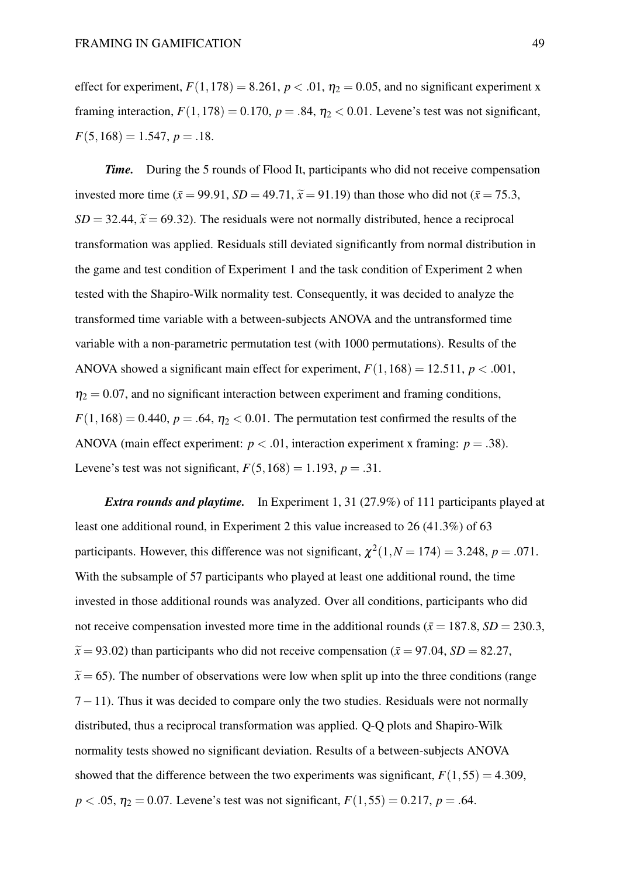effect for experiment,  $F(1,178) = 8.261$ ,  $p < .01$ ,  $\eta_2 = 0.05$ , and no significant experiment x framing interaction,  $F(1,178) = 0.170$ ,  $p = .84$ ,  $\eta_2 < 0.01$ . Levene's test was not significant,  $F(5,168) = 1.547, p = .18.$ 

*Time.* During the 5 rounds of Flood It, participants who did not receive compensation invested more time ( $\bar{x}$  = 99.91, *SD* = 49.71,  $\tilde{x}$  = 91.19) than those who did not ( $\bar{x}$  = 75.3,  $SD = 32.44$ ,  $\tilde{x} = 69.32$ ). The residuals were not normally distributed, hence a reciprocal transformation was applied. Residuals still deviated significantly from normal distribution in the game and test condition of Experiment 1 and the task condition of Experiment 2 when tested with the Shapiro-Wilk normality test. Consequently, it was decided to analyze the transformed time variable with a between-subjects ANOVA and the untransformed time variable with a non-parametric permutation test (with 1000 permutations). Results of the ANOVA showed a significant main effect for experiment,  $F(1,168) = 12.511$ ,  $p < .001$ ,  $\eta_2 = 0.07$ , and no significant interaction between experiment and framing conditions,  $F(1,168) = 0.440$ ,  $p = .64$ ,  $\eta_2 < 0.01$ . The permutation test confirmed the results of the ANOVA (main effect experiment:  $p < .01$ , interaction experiment x framing:  $p = .38$ ). Levene's test was not significant,  $F(5,168) = 1.193$ ,  $p = .31$ .

*Extra rounds and playtime.* In Experiment 1, 31 (27.9%) of 111 participants played at least one additional round, in Experiment 2 this value increased to 26 (41.3%) of 63 participants. However, this difference was not significant,  $\chi^2(1, N = 174) = 3.248$ ,  $p = .071$ . With the subsample of 57 participants who played at least one additional round, the time invested in those additional rounds was analyzed. Over all conditions, participants who did not receive compensation invested more time in the additional rounds ( $\bar{x} = 187.8$ ,  $SD = 230.3$ ,  $\tilde{x}$  = 93.02) than participants who did not receive compensation ( $\bar{x}$  = 97.04, *SD* = 82.27,  $\tilde{x}$  = 65). The number of observations were low when split up into the three conditions (range  $7-11$ ). Thus it was decided to compare only the two studies. Residuals were not normally distributed, thus a reciprocal transformation was applied. Q-Q plots and Shapiro-Wilk normality tests showed no significant deviation. Results of a between-subjects ANOVA showed that the difference between the two experiments was significant,  $F(1,55) = 4.309$ ,  $p < .05$ ,  $\eta_2 = 0.07$ . Levene's test was not significant,  $F(1,55) = 0.217$ ,  $p = .64$ .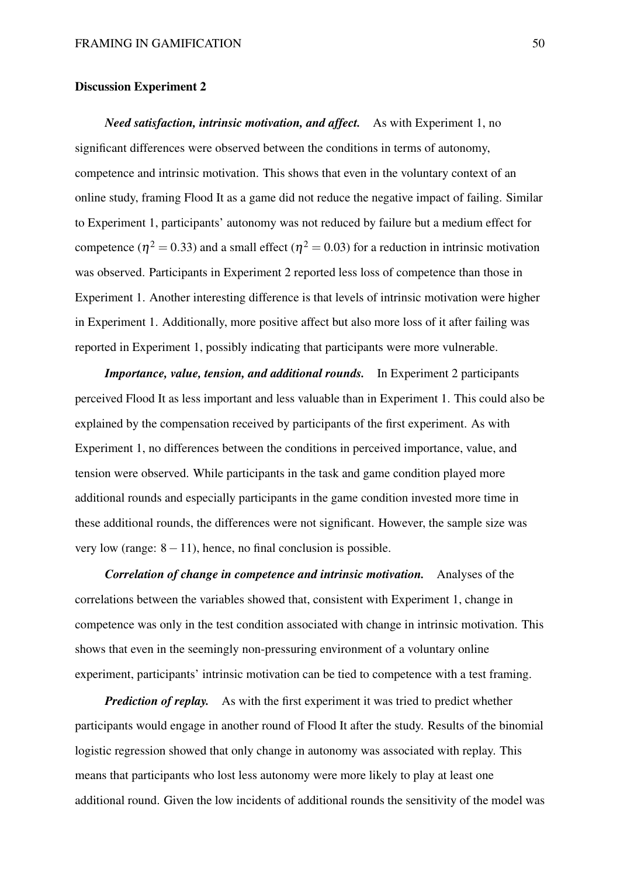#### Discussion Experiment 2

*Need satisfaction, intrinsic motivation, and affect.* As with Experiment 1, no significant differences were observed between the conditions in terms of autonomy, competence and intrinsic motivation. This shows that even in the voluntary context of an online study, framing Flood It as a game did not reduce the negative impact of failing. Similar to Experiment 1, participants' autonomy was not reduced by failure but a medium effect for competence ( $\eta^2 = 0.33$ ) and a small effect ( $\eta^2 = 0.03$ ) for a reduction in intrinsic motivation was observed. Participants in Experiment 2 reported less loss of competence than those in Experiment 1. Another interesting difference is that levels of intrinsic motivation were higher in Experiment 1. Additionally, more positive affect but also more loss of it after failing was reported in Experiment 1, possibly indicating that participants were more vulnerable.

*Importance, value, tension, and additional rounds.* In Experiment 2 participants perceived Flood It as less important and less valuable than in Experiment 1. This could also be explained by the compensation received by participants of the first experiment. As with Experiment 1, no differences between the conditions in perceived importance, value, and tension were observed. While participants in the task and game condition played more additional rounds and especially participants in the game condition invested more time in these additional rounds, the differences were not significant. However, the sample size was very low (range:  $8-11$ ), hence, no final conclusion is possible.

*Correlation of change in competence and intrinsic motivation.* Analyses of the correlations between the variables showed that, consistent with Experiment 1, change in competence was only in the test condition associated with change in intrinsic motivation. This shows that even in the seemingly non-pressuring environment of a voluntary online experiment, participants' intrinsic motivation can be tied to competence with a test framing.

*Prediction of replay.* As with the first experiment it was tried to predict whether participants would engage in another round of Flood It after the study. Results of the binomial logistic regression showed that only change in autonomy was associated with replay. This means that participants who lost less autonomy were more likely to play at least one additional round. Given the low incidents of additional rounds the sensitivity of the model was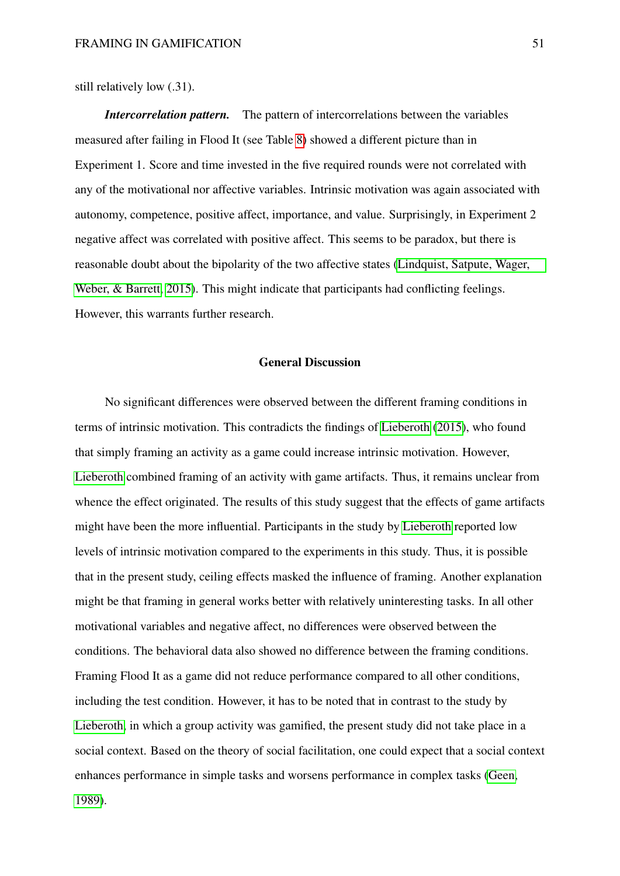still relatively low (.31).

*Intercorrelation pattern.* The pattern of intercorrelations between the variables measured after failing in Flood It (see Table [8\)](#page-46-0) showed a different picture than in Experiment 1. Score and time invested in the five required rounds were not correlated with any of the motivational nor affective variables. Intrinsic motivation was again associated with autonomy, competence, positive affect, importance, and value. Surprisingly, in Experiment 2 negative affect was correlated with positive affect. This seems to be paradox, but there is reasonable doubt about the bipolarity of the two affective states [\(Lindquist, Satpute, Wager,](#page-58-9) [Weber, & Barrett, 2015\)](#page-58-9). This might indicate that participants had conflicting feelings. However, this warrants further research.

#### General Discussion

No significant differences were observed between the different framing conditions in terms of intrinsic motivation. This contradicts the findings of [Lieberoth](#page-58-4) [\(2015\)](#page-58-4), who found that simply framing an activity as a game could increase intrinsic motivation. However, [Lieberoth](#page-58-4) combined framing of an activity with game artifacts. Thus, it remains unclear from whence the effect originated. The results of this study suggest that the effects of game artifacts might have been the more influential. Participants in the study by [Lieberoth](#page-58-4) reported low levels of intrinsic motivation compared to the experiments in this study. Thus, it is possible that in the present study, ceiling effects masked the influence of framing. Another explanation might be that framing in general works better with relatively uninteresting tasks. In all other motivational variables and negative affect, no differences were observed between the conditions. The behavioral data also showed no difference between the framing conditions. Framing Flood It as a game did not reduce performance compared to all other conditions, including the test condition. However, it has to be noted that in contrast to the study by [Lieberoth,](#page-58-4) in which a group activity was gamified, the present study did not take place in a social context. Based on the theory of social facilitation, one could expect that a social context enhances performance in simple tasks and worsens performance in complex tasks [\(Geen,](#page-57-9) [1989\)](#page-57-9).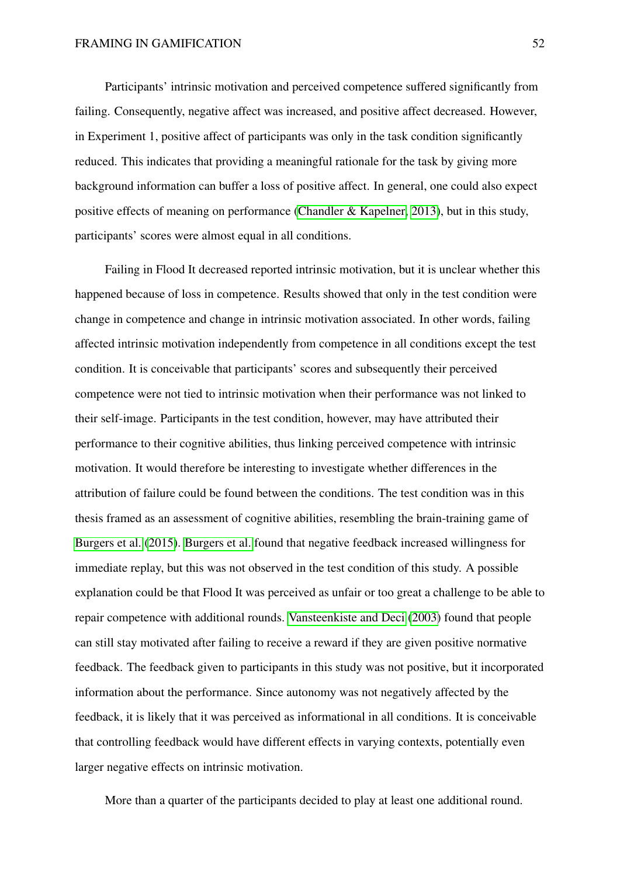Participants' intrinsic motivation and perceived competence suffered significantly from failing. Consequently, negative affect was increased, and positive affect decreased. However, in Experiment 1, positive affect of participants was only in the task condition significantly reduced. This indicates that providing a meaningful rationale for the task by giving more background information can buffer a loss of positive affect. In general, one could also expect positive effects of meaning on performance [\(Chandler & Kapelner, 2013\)](#page-56-9), but in this study, participants' scores were almost equal in all conditions.

Failing in Flood It decreased reported intrinsic motivation, but it is unclear whether this happened because of loss in competence. Results showed that only in the test condition were change in competence and change in intrinsic motivation associated. In other words, failing affected intrinsic motivation independently from competence in all conditions except the test condition. It is conceivable that participants' scores and subsequently their perceived competence were not tied to intrinsic motivation when their performance was not linked to their self-image. Participants in the test condition, however, may have attributed their performance to their cognitive abilities, thus linking perceived competence with intrinsic motivation. It would therefore be interesting to investigate whether differences in the attribution of failure could be found between the conditions. The test condition was in this thesis framed as an assessment of cognitive abilities, resembling the brain-training game of [Burgers et al.](#page-56-5) [\(2015\)](#page-56-5). [Burgers et al.](#page-56-5) found that negative feedback increased willingness for immediate replay, but this was not observed in the test condition of this study. A possible explanation could be that Flood It was perceived as unfair or too great a challenge to be able to repair competence with additional rounds. [Vansteenkiste and Deci](#page-61-0) [\(2003\)](#page-61-0) found that people can still stay motivated after failing to receive a reward if they are given positive normative feedback. The feedback given to participants in this study was not positive, but it incorporated information about the performance. Since autonomy was not negatively affected by the feedback, it is likely that it was perceived as informational in all conditions. It is conceivable that controlling feedback would have different effects in varying contexts, potentially even larger negative effects on intrinsic motivation.

More than a quarter of the participants decided to play at least one additional round.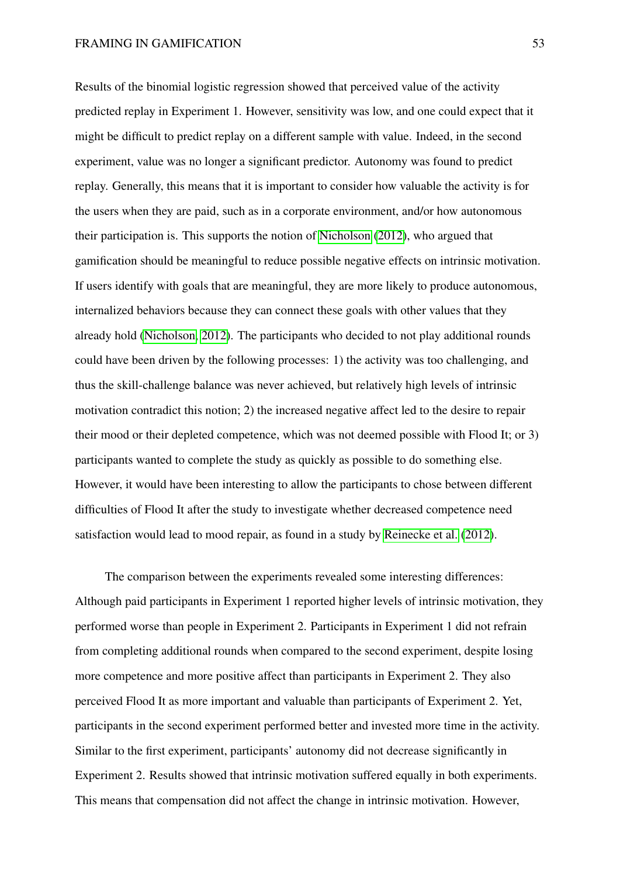Results of the binomial logistic regression showed that perceived value of the activity predicted replay in Experiment 1. However, sensitivity was low, and one could expect that it might be difficult to predict replay on a different sample with value. Indeed, in the second experiment, value was no longer a significant predictor. Autonomy was found to predict replay. Generally, this means that it is important to consider how valuable the activity is for the users when they are paid, such as in a corporate environment, and/or how autonomous their participation is. This supports the notion of [Nicholson](#page-59-1) [\(2012\)](#page-59-1), who argued that gamification should be meaningful to reduce possible negative effects on intrinsic motivation. If users identify with goals that are meaningful, they are more likely to produce autonomous, internalized behaviors because they can connect these goals with other values that they already hold [\(Nicholson, 2012\)](#page-59-1). The participants who decided to not play additional rounds could have been driven by the following processes: 1) the activity was too challenging, and thus the skill-challenge balance was never achieved, but relatively high levels of intrinsic motivation contradict this notion; 2) the increased negative affect led to the desire to repair their mood or their depleted competence, which was not deemed possible with Flood It; or 3) participants wanted to complete the study as quickly as possible to do something else. However, it would have been interesting to allow the participants to chose between different difficulties of Flood It after the study to investigate whether decreased competence need satisfaction would lead to mood repair, as found in a study by [Reinecke et al.](#page-59-7) [\(2012\)](#page-59-7).

The comparison between the experiments revealed some interesting differences: Although paid participants in Experiment 1 reported higher levels of intrinsic motivation, they performed worse than people in Experiment 2. Participants in Experiment 1 did not refrain from completing additional rounds when compared to the second experiment, despite losing more competence and more positive affect than participants in Experiment 2. They also perceived Flood It as more important and valuable than participants of Experiment 2. Yet, participants in the second experiment performed better and invested more time in the activity. Similar to the first experiment, participants' autonomy did not decrease significantly in Experiment 2. Results showed that intrinsic motivation suffered equally in both experiments. This means that compensation did not affect the change in intrinsic motivation. However,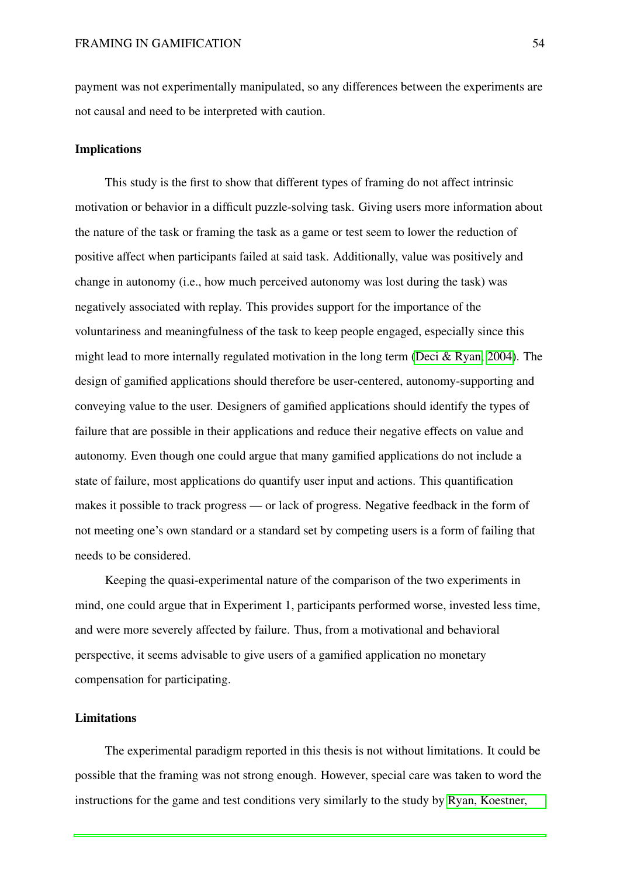payment was not experimentally manipulated, so any differences between the experiments are not causal and need to be interpreted with caution.

#### Implications

This study is the first to show that different types of framing do not affect intrinsic motivation or behavior in a difficult puzzle-solving task. Giving users more information about the nature of the task or framing the task as a game or test seem to lower the reduction of positive affect when participants failed at said task. Additionally, value was positively and change in autonomy (i.e., how much perceived autonomy was lost during the task) was negatively associated with replay. This provides support for the importance of the voluntariness and meaningfulness of the task to keep people engaged, especially since this might lead to more internally regulated motivation in the long term [\(Deci & Ryan, 2004\)](#page-57-3). The design of gamified applications should therefore be user-centered, autonomy-supporting and conveying value to the user. Designers of gamified applications should identify the types of failure that are possible in their applications and reduce their negative effects on value and autonomy. Even though one could argue that many gamified applications do not include a state of failure, most applications do quantify user input and actions. This quantification makes it possible to track progress — or lack of progress. Negative feedback in the form of not meeting one's own standard or a standard set by competing users is a form of failing that needs to be considered.

Keeping the quasi-experimental nature of the comparison of the two experiments in mind, one could argue that in Experiment 1, participants performed worse, invested less time, and were more severely affected by failure. Thus, from a motivational and behavioral perspective, it seems advisable to give users of a gamified application no monetary compensation for participating.

#### Limitations

The experimental paradigm reported in this thesis is not without limitations. It could be possible that the framing was not strong enough. However, special care was taken to word the instructions for the game and test conditions very similarly to the study by [Ryan, Koestner,](#page-60-10)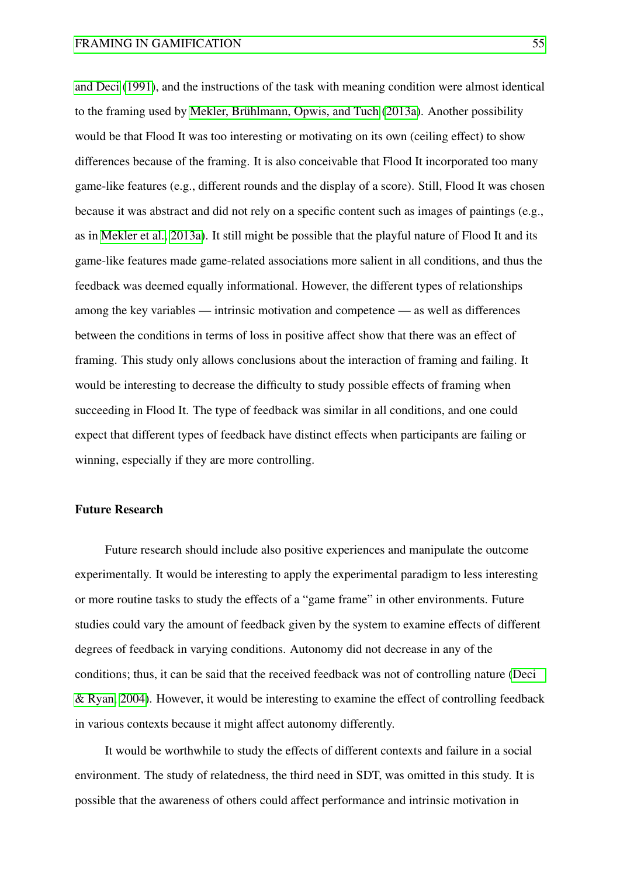[and Deci](#page-60-10) [\(1991\)](#page-60-10), and the instructions of the task with meaning condition were almost identical to the framing used by [Mekler, Brühlmann, Opwis, and Tuch](#page-59-8) [\(2013a\)](#page-59-8). Another possibility would be that Flood It was too interesting or motivating on its own (ceiling effect) to show differences because of the framing. It is also conceivable that Flood It incorporated too many game-like features (e.g., different rounds and the display of a score). Still, Flood It was chosen because it was abstract and did not rely on a specific content such as images of paintings (e.g., as in [Mekler et al., 2013a\)](#page-59-8). It still might be possible that the playful nature of Flood It and its game-like features made game-related associations more salient in all conditions, and thus the feedback was deemed equally informational. However, the different types of relationships among the key variables — intrinsic motivation and competence — as well as differences between the conditions in terms of loss in positive affect show that there was an effect of framing. This study only allows conclusions about the interaction of framing and failing. It would be interesting to decrease the difficulty to study possible effects of framing when succeeding in Flood It. The type of feedback was similar in all conditions, and one could expect that different types of feedback have distinct effects when participants are failing or winning, especially if they are more controlling.

### Future Research

Future research should include also positive experiences and manipulate the outcome experimentally. It would be interesting to apply the experimental paradigm to less interesting or more routine tasks to study the effects of a "game frame" in other environments. Future studies could vary the amount of feedback given by the system to examine effects of different degrees of feedback in varying conditions. Autonomy did not decrease in any of the conditions; thus, it can be said that the received feedback was not of controlling nature [\(Deci](#page-57-3) [& Ryan, 2004\)](#page-57-3). However, it would be interesting to examine the effect of controlling feedback in various contexts because it might affect autonomy differently.

It would be worthwhile to study the effects of different contexts and failure in a social environment. The study of relatedness, the third need in SDT, was omitted in this study. It is possible that the awareness of others could affect performance and intrinsic motivation in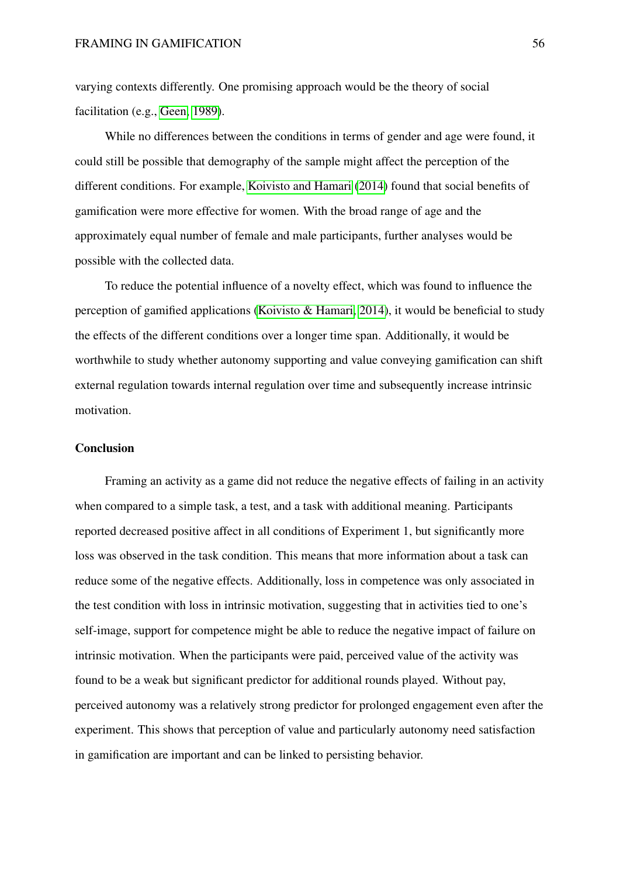varying contexts differently. One promising approach would be the theory of social facilitation (e.g., [Geen, 1989\)](#page-57-9).

While no differences between the conditions in terms of gender and age were found, it could still be possible that demography of the sample might affect the perception of the different conditions. For example, [Koivisto and Hamari](#page-58-10) [\(2014\)](#page-58-10) found that social benefits of gamification were more effective for women. With the broad range of age and the approximately equal number of female and male participants, further analyses would be possible with the collected data.

To reduce the potential influence of a novelty effect, which was found to influence the perception of gamified applications (Koivisto  $\&$  Hamari, 2014), it would be beneficial to study the effects of the different conditions over a longer time span. Additionally, it would be worthwhile to study whether autonomy supporting and value conveying gamification can shift external regulation towards internal regulation over time and subsequently increase intrinsic motivation.

#### **Conclusion**

Framing an activity as a game did not reduce the negative effects of failing in an activity when compared to a simple task, a test, and a task with additional meaning. Participants reported decreased positive affect in all conditions of Experiment 1, but significantly more loss was observed in the task condition. This means that more information about a task can reduce some of the negative effects. Additionally, loss in competence was only associated in the test condition with loss in intrinsic motivation, suggesting that in activities tied to one's self-image, support for competence might be able to reduce the negative impact of failure on intrinsic motivation. When the participants were paid, perceived value of the activity was found to be a weak but significant predictor for additional rounds played. Without pay, perceived autonomy was a relatively strong predictor for prolonged engagement even after the experiment. This shows that perception of value and particularly autonomy need satisfaction in gamification are important and can be linked to persisting behavior.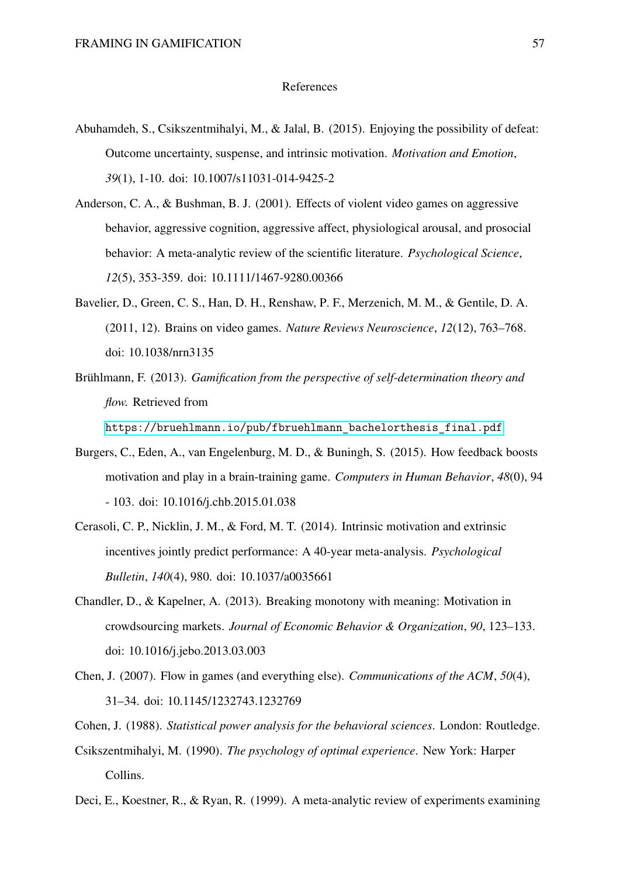#### References

- <span id="page-56-8"></span>Abuhamdeh, S., Csikszentmihalyi, M., & Jalal, B. (2015). Enjoying the possibility of defeat: Outcome uncertainty, suspense, and intrinsic motivation. *Motivation and Emotion*, *39*(1), 1-10. doi: 10.1007/s11031-014-9425-2
- <span id="page-56-0"></span>Anderson, C. A., & Bushman, B. J. (2001). Effects of violent video games on aggressive behavior, aggressive cognition, aggressive affect, physiological arousal, and prosocial behavior: A meta-analytic review of the scientific literature. *Psychological Science*, *12*(5), 353-359. doi: 10.1111/1467-9280.00366
- <span id="page-56-1"></span>Bavelier, D., Green, C. S., Han, D. H., Renshaw, P. F., Merzenich, M. M., & Gentile, D. A. (2011, 12). Brains on video games. *Nature Reviews Neuroscience*, *12*(12), 763–768. doi: 10.1038/nrn3135
- <span id="page-56-4"></span>Brühlmann, F. (2013). *Gamification from the perspective of self-determination theory and flow.* Retrieved from

[https://bruehlmann.io/pub/fbruehlmann\\_bachelorthesis\\_final.pdf](https://bruehlmann.io/pub/fbruehlmann_bachelorthesis_final.pdf)

- <span id="page-56-5"></span>Burgers, C., Eden, A., van Engelenburg, M. D., & Buningh, S. (2015). How feedback boosts motivation and play in a brain-training game. *Computers in Human Behavior*, *48*(0), 94 - 103. doi: 10.1016/j.chb.2015.01.038
- <span id="page-56-2"></span>Cerasoli, C. P., Nicklin, J. M., & Ford, M. T. (2014). Intrinsic motivation and extrinsic incentives jointly predict performance: A 40-year meta-analysis. *Psychological Bulletin*, *140*(4), 980. doi: 10.1037/a0035661
- <span id="page-56-9"></span>Chandler, D., & Kapelner, A. (2013). Breaking monotony with meaning: Motivation in crowdsourcing markets. *Journal of Economic Behavior & Organization*, *90*, 123–133. doi: 10.1016/j.jebo.2013.03.003
- <span id="page-56-7"></span>Chen, J. (2007). Flow in games (and everything else). *Communications of the ACM*, *50*(4), 31–34. doi: 10.1145/1232743.1232769
- <span id="page-56-10"></span><span id="page-56-6"></span>Cohen, J. (1988). *Statistical power analysis for the behavioral sciences*. London: Routledge.
- Csikszentmihalyi, M. (1990). *The psychology of optimal experience*. New York: Harper Collins.
- <span id="page-56-3"></span>Deci, E., Koestner, R., & Ryan, R. (1999). A meta-analytic review of experiments examining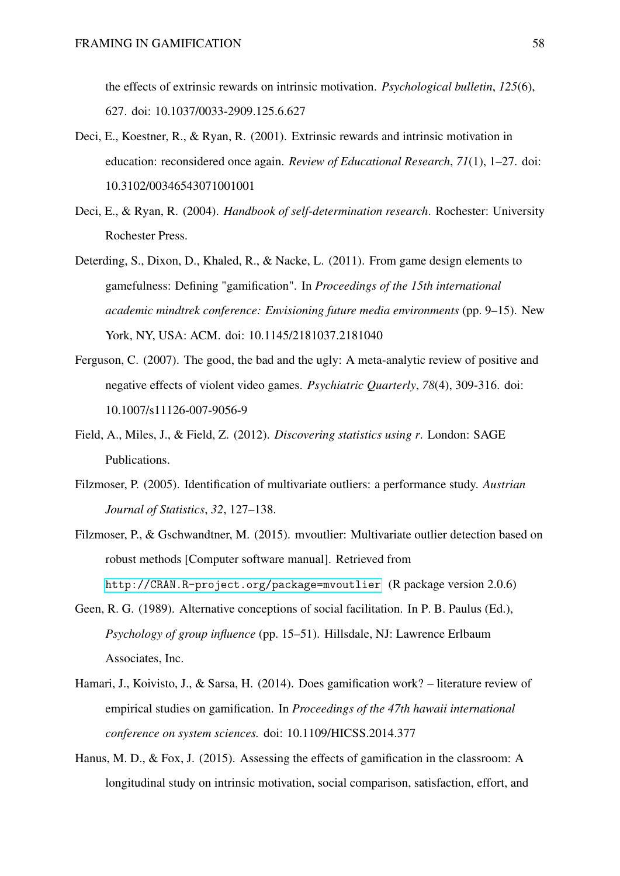the effects of extrinsic rewards on intrinsic motivation. *Psychological bulletin*, *125*(6), 627. doi: 10.1037/0033-2909.125.6.627

- <span id="page-57-8"></span>Deci, E., Koestner, R., & Ryan, R. (2001). Extrinsic rewards and intrinsic motivation in education: reconsidered once again. *Review of Educational Research*, *71*(1), 1–27. doi: 10.3102/00346543071001001
- <span id="page-57-3"></span>Deci, E., & Ryan, R. (2004). *Handbook of self-determination research*. Rochester: University Rochester Press.
- <span id="page-57-1"></span>Deterding, S., Dixon, D., Khaled, R., & Nacke, L. (2011). From game design elements to gamefulness: Defining "gamification". In *Proceedings of the 15th international academic mindtrek conference: Envisioning future media environments* (pp. 9–15). New York, NY, USA: ACM. doi: 10.1145/2181037.2181040
- <span id="page-57-0"></span>Ferguson, C. (2007). The good, the bad and the ugly: A meta-analytic review of positive and negative effects of violent video games. *Psychiatric Quarterly*, *78*(4), 309-316. doi: 10.1007/s11126-007-9056-9
- <span id="page-57-5"></span>Field, A., Miles, J., & Field, Z. (2012). *Discovering statistics using r*. London: SAGE Publications.
- <span id="page-57-7"></span>Filzmoser, P. (2005). Identification of multivariate outliers: a performance study. *Austrian Journal of Statistics*, *32*, 127–138.
- <span id="page-57-6"></span>Filzmoser, P., & Gschwandtner, M. (2015). mvoutlier: Multivariate outlier detection based on robust methods [Computer software manual]. Retrieved from <http://CRAN.R-project.org/package=mvoutlier> (R package version 2.0.6)
- <span id="page-57-9"></span>Geen, R. G. (1989). Alternative conceptions of social facilitation. In P. B. Paulus (Ed.), *Psychology of group influence* (pp. 15–51). Hillsdale, NJ: Lawrence Erlbaum Associates, Inc.
- <span id="page-57-2"></span>Hamari, J., Koivisto, J., & Sarsa, H. (2014). Does gamification work? – literature review of empirical studies on gamification. In *Proceedings of the 47th hawaii international conference on system sciences.* doi: 10.1109/HICSS.2014.377
- <span id="page-57-4"></span>Hanus, M. D., & Fox, J. (2015). Assessing the effects of gamification in the classroom: A longitudinal study on intrinsic motivation, social comparison, satisfaction, effort, and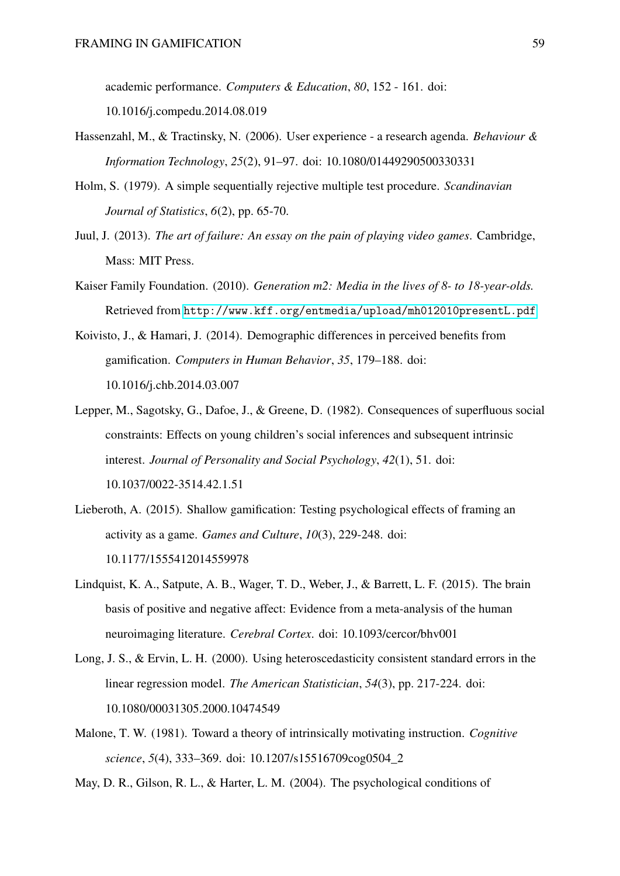academic performance. *Computers & Education*, *80*, 152 - 161. doi: 10.1016/j.compedu.2014.08.019

- <span id="page-58-0"></span>Hassenzahl, M., & Tractinsky, N. (2006). User experience - a research agenda. *Behaviour & Information Technology*, *25*(2), 91–97. doi: 10.1080/01449290500330331
- <span id="page-58-5"></span>Holm, S. (1979). A simple sequentially rejective multiple test procedure. *Scandinavian Journal of Statistics*, *6*(2), pp. 65-70.
- <span id="page-58-2"></span>Juul, J. (2013). *The art of failure: An essay on the pain of playing video games*. Cambridge, Mass: MIT Press.
- <span id="page-58-3"></span>Kaiser Family Foundation. (2010). *Generation m2: Media in the lives of 8- to 18-year-olds.* Retrieved from <http://www.kff.org/entmedia/upload/mh012010presentL.pdf>
- <span id="page-58-10"></span>Koivisto, J., & Hamari, J. (2014). Demographic differences in perceived benefits from gamification. *Computers in Human Behavior*, *35*, 179–188. doi: 10.1016/j.chb.2014.03.007
- <span id="page-58-7"></span>Lepper, M., Sagotsky, G., Dafoe, J., & Greene, D. (1982). Consequences of superfluous social constraints: Effects on young children's social inferences and subsequent intrinsic interest. *Journal of Personality and Social Psychology*, *42*(1), 51. doi: 10.1037/0022-3514.42.1.51
- <span id="page-58-4"></span>Lieberoth, A. (2015). Shallow gamification: Testing psychological effects of framing an activity as a game. *Games and Culture*, *10*(3), 229-248. doi: 10.1177/1555412014559978
- <span id="page-58-9"></span>Lindquist, K. A., Satpute, A. B., Wager, T. D., Weber, J., & Barrett, L. F. (2015). The brain basis of positive and negative affect: Evidence from a meta-analysis of the human neuroimaging literature. *Cerebral Cortex*. doi: 10.1093/cercor/bhv001
- <span id="page-58-8"></span>Long, J. S., & Ervin, L. H. (2000). Using heteroscedasticity consistent standard errors in the linear regression model. *The American Statistician*, *54*(3), pp. 217-224. doi: 10.1080/00031305.2000.10474549
- <span id="page-58-1"></span>Malone, T. W. (1981). Toward a theory of intrinsically motivating instruction. *Cognitive science*, *5*(4), 333–369. doi: 10.1207/s15516709cog0504\_2
- <span id="page-58-6"></span>May, D. R., Gilson, R. L., & Harter, L. M. (2004). The psychological conditions of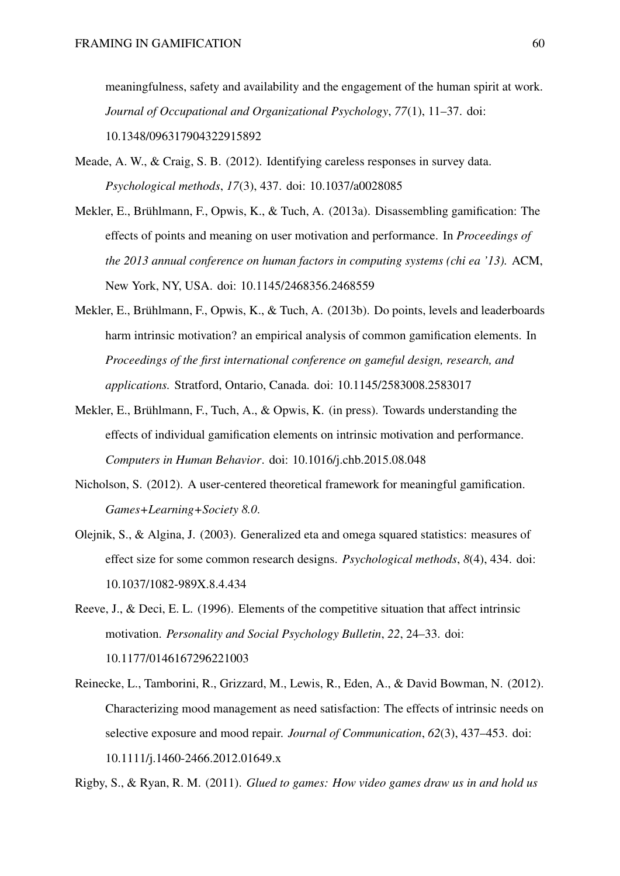meaningfulness, safety and availability and the engagement of the human spirit at work. *Journal of Occupational and Organizational Psychology*, *77*(1), 11–37. doi: 10.1348/096317904322915892

- <span id="page-59-5"></span>Meade, A. W., & Craig, S. B. (2012). Identifying careless responses in survey data. *Psychological methods*, *17*(3), 437. doi: 10.1037/a0028085
- <span id="page-59-8"></span>Mekler, E., Brühlmann, F., Opwis, K., & Tuch, A. (2013a). Disassembling gamification: The effects of points and meaning on user motivation and performance. In *Proceedings of the 2013 annual conference on human factors in computing systems (chi ea '13).* ACM, New York, NY, USA. doi: 10.1145/2468356.2468559
- <span id="page-59-3"></span>Mekler, E., Brühlmann, F., Opwis, K., & Tuch, A. (2013b). Do points, levels and leaderboards harm intrinsic motivation? an empirical analysis of common gamification elements. In *Proceedings of the first international conference on gameful design, research, and applications.* Stratford, Ontario, Canada. doi: 10.1145/2583008.2583017
- <span id="page-59-2"></span>Mekler, E., Brühlmann, F., Tuch, A., & Opwis, K. (in press). Towards understanding the effects of individual gamification elements on intrinsic motivation and performance. *Computers in Human Behavior*. doi: 10.1016/j.chb.2015.08.048
- <span id="page-59-1"></span>Nicholson, S. (2012). A user-centered theoretical framework for meaningful gamification. *Games+Learning+Society 8.0*.
- <span id="page-59-6"></span>Olejnik, S., & Algina, J. (2003). Generalized eta and omega squared statistics: measures of effect size for some common research designs. *Psychological methods*, *8*(4), 434. doi: 10.1037/1082-989X.8.4.434
- <span id="page-59-4"></span>Reeve, J., & Deci, E. L. (1996). Elements of the competitive situation that affect intrinsic motivation. *Personality and Social Psychology Bulletin*, *22*, 24–33. doi: 10.1177/0146167296221003
- <span id="page-59-7"></span>Reinecke, L., Tamborini, R., Grizzard, M., Lewis, R., Eden, A., & David Bowman, N. (2012). Characterizing mood management as need satisfaction: The effects of intrinsic needs on selective exposure and mood repair. *Journal of Communication*, *62*(3), 437–453. doi: 10.1111/j.1460-2466.2012.01649.x

<span id="page-59-0"></span>Rigby, S., & Ryan, R. M. (2011). *Glued to games: How video games draw us in and hold us*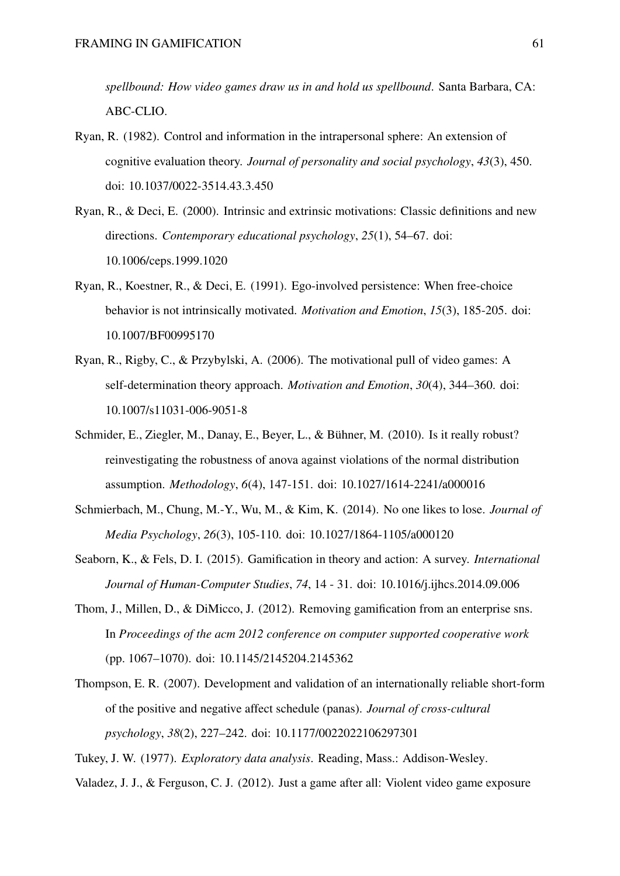*spellbound: How video games draw us in and hold us spellbound*. Santa Barbara, CA: ABC-CLIO.

- <span id="page-60-6"></span>Ryan, R. (1982). Control and information in the intrapersonal sphere: An extension of cognitive evaluation theory. *Journal of personality and social psychology*, *43*(3), 450. doi: 10.1037/0022-3514.43.3.450
- <span id="page-60-4"></span>Ryan, R., & Deci, E. (2000). Intrinsic and extrinsic motivations: Classic definitions and new directions. *Contemporary educational psychology*, *25*(1), 54–67. doi: 10.1006/ceps.1999.1020
- <span id="page-60-10"></span>Ryan, R., Koestner, R., & Deci, E. (1991). Ego-involved persistence: When free-choice behavior is not intrinsically motivated. *Motivation and Emotion*, *15*(3), 185-205. doi: 10.1007/BF00995170
- <span id="page-60-2"></span>Ryan, R., Rigby, C., & Przybylski, A. (2006). The motivational pull of video games: A self-determination theory approach. *Motivation and Emotion*, *30*(4), 344–360. doi: 10.1007/s11031-006-9051-8
- <span id="page-60-9"></span>Schmider, E., Ziegler, M., Danay, E., Beyer, L., & Bühner, M. (2010). Is it really robust? reinvestigating the robustness of anova against violations of the normal distribution assumption. *Methodology*, *6*(4), 147-151. doi: 10.1027/1614-2241/a000016
- <span id="page-60-0"></span>Schmierbach, M., Chung, M.-Y., Wu, M., & Kim, K. (2014). No one likes to lose. *Journal of Media Psychology*, *26*(3), 105-110. doi: 10.1027/1864-1105/a000120
- <span id="page-60-3"></span>Seaborn, K., & Fels, D. I. (2015). Gamification in theory and action: A survey. *International Journal of Human-Computer Studies*, *74*, 14 - 31. doi: 10.1016/j.ijhcs.2014.09.006
- <span id="page-60-5"></span>Thom, J., Millen, D., & DiMicco, J. (2012). Removing gamification from an enterprise sns. In *Proceedings of the acm 2012 conference on computer supported cooperative work* (pp. 1067–1070). doi: 10.1145/2145204.2145362
- <span id="page-60-7"></span>Thompson, E. R. (2007). Development and validation of an internationally reliable short-form of the positive and negative affect schedule (panas). *Journal of cross-cultural psychology*, *38*(2), 227–242. doi: 10.1177/0022022106297301

<span id="page-60-8"></span><span id="page-60-1"></span>Tukey, J. W. (1977). *Exploratory data analysis*. Reading, Mass.: Addison-Wesley.

Valadez, J. J., & Ferguson, C. J. (2012). Just a game after all: Violent video game exposure